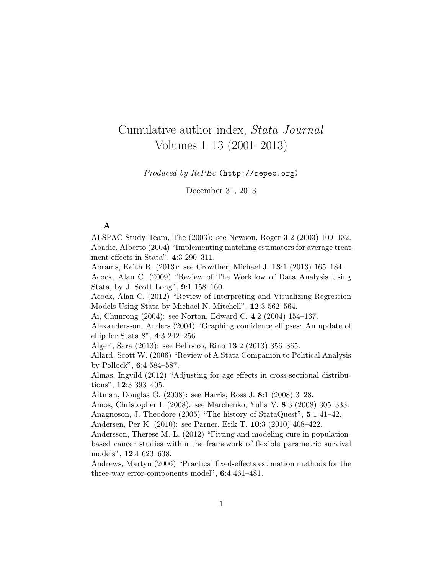# Cumulative author index, Stata Journal Volumes 1–13 (2001–2013)

## Produced by RePEc (http://repec.org)

December 31, 2013

## A

ALSPAC Study Team, The (2003): see Newson, Roger 3:2 (2003) 109–132. Abadie, Alberto (2004) "Implementing matching estimators for average treatment effects in Stata", 4:3 290–311.

Abrams, Keith R. (2013): see Crowther, Michael J. 13:1 (2013) 165–184.

Acock, Alan C. (2009) "Review of The Workflow of Data Analysis Using Stata, by J. Scott Long", 9:1 158–160.

Acock, Alan C. (2012) "Review of Interpreting and Visualizing Regression Models Using Stata by Michael N. Mitchell", 12:3 562–564.

Ai, Chunrong (2004): see Norton, Edward C. 4:2 (2004) 154–167.

Alexandersson, Anders (2004) "Graphing confidence ellipses: An update of ellip for Stata 8", 4:3 242–256.

Algeri, Sara (2013): see Bellocco, Rino 13:2 (2013) 356–365.

Allard, Scott W. (2006) "Review of A Stata Companion to Political Analysis by Pollock", 6:4 584–587.

Almas, Ingvild (2012) "Adjusting for age effects in cross-sectional distributions", 12:3 393–405.

Altman, Douglas G. (2008): see Harris, Ross J. 8:1 (2008) 3–28.

Amos, Christopher I. (2008): see Marchenko, Yulia V. 8:3 (2008) 305–333. Anagnoson, J. Theodore (2005) "The history of StataQuest", 5:1 41–42.

Andersen, Per K. (2010): see Parner, Erik T. 10:3 (2010) 408–422.

Andersson, Therese M.-L. (2012) "Fitting and modeling cure in populationbased cancer studies within the framework of flexible parametric survival models", 12:4 623–638.

Andrews, Martyn (2006) "Practical fixed-effects estimation methods for the three-way error-components model", 6:4 461–481.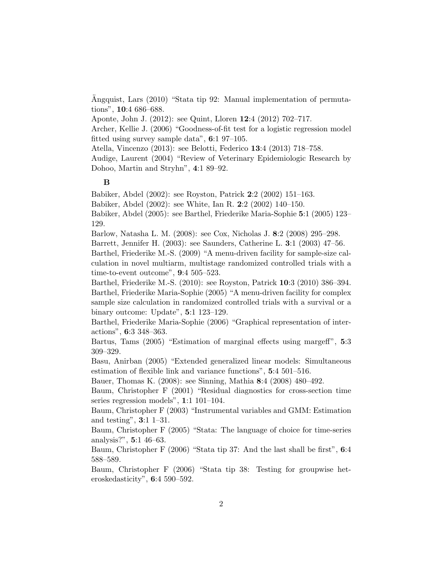Angquist, Lars (2010) "Stata tip 92: Manual implementation of permutations", 10:4 686–688.

Aponte, John J. (2012): see Quint, Lloren 12:4 (2012) 702–717.

Archer, Kellie J. (2006) "Goodness-of-fit test for a logistic regression model fitted using survey sample data", 6:1 97–105.

Atella, Vincenzo (2013): see Belotti, Federico 13:4 (2013) 718–758.

Audige, Laurent (2004) "Review of Veterinary Epidemiologic Research by Dohoo, Martin and Stryhn", 4:1 89–92.

#### B

Babiker, Abdel (2002): see Royston, Patrick 2:2 (2002) 151–163.

Babiker, Abdel (2002): see White, Ian R. 2:2 (2002) 140–150.

Babiker, Abdel (2005): see Barthel, Friederike Maria-Sophie 5:1 (2005) 123– 129.

Barlow, Natasha L. M. (2008): see Cox, Nicholas J. 8:2 (2008) 295–298.

Barrett, Jennifer H. (2003): see Saunders, Catherine L. 3:1 (2003) 47–56.

Barthel, Friederike M.-S. (2009) "A menu-driven facility for sample-size calculation in novel multiarm, multistage randomized controlled trials with a time-to-event outcome", 9:4 505–523.

Barthel, Friederike M.-S. (2010): see Royston, Patrick 10:3 (2010) 386–394. Barthel, Friederike Maria-Sophie (2005) "A menu-driven facility for complex sample size calculation in randomized controlled trials with a survival or a binary outcome: Update", 5:1 123–129.

Barthel, Friederike Maria-Sophie (2006) "Graphical representation of interactions", 6:3 348–363.

Bartus, Tams (2005) "Estimation of marginal effects using margeff", 5:3 309–329.

Basu, Anirban (2005) "Extended generalized linear models: Simultaneous estimation of flexible link and variance functions", 5:4 501–516.

Bauer, Thomas K. (2008): see Sinning, Mathia 8:4 (2008) 480–492.

Baum, Christopher F (2001) "Residual diagnostics for cross-section time series regression models", 1:1 101–104.

Baum, Christopher F (2003) "Instrumental variables and GMM: Estimation and testing", 3:1 1–31.

Baum, Christopher F (2005) "Stata: The language of choice for time-series analysis?", 5:1 46–63.

Baum, Christopher F (2006) "Stata tip 37: And the last shall be first", 6:4 588–589.

Baum, Christopher F (2006) "Stata tip 38: Testing for groupwise heteroskedasticity", 6:4 590–592.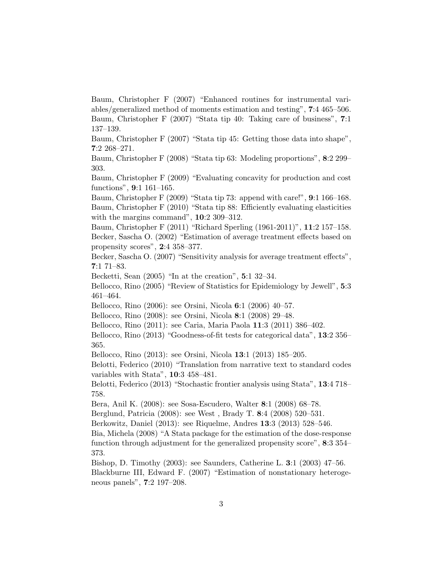Baum, Christopher F (2007) "Enhanced routines for instrumental variables/generalized method of moments estimation and testing", 7:4 465–506. Baum, Christopher F (2007) "Stata tip 40: Taking care of business", 7:1 137–139.

Baum, Christopher F (2007) "Stata tip 45: Getting those data into shape", 7:2 268–271.

Baum, Christopher F (2008) "Stata tip 63: Modeling proportions", 8:2 299– 303.

Baum, Christopher F (2009) "Evaluating concavity for production and cost functions", 9:1 161–165.

Baum, Christopher F (2009) "Stata tip 73: append with care!", 9:1 166–168. Baum, Christopher F (2010) "Stata tip 88: Efficiently evaluating elasticities with the margins command", 10:2 309–312.

Baum, Christopher F (2011) "Richard Sperling (1961-2011)", 11:2 157–158. Becker, Sascha O. (2002) "Estimation of average treatment effects based on propensity scores", 2:4 358–377.

Becker, Sascha O. (2007) "Sensitivity analysis for average treatment effects", 7:1 71–83.

Becketti, Sean (2005) "In at the creation", 5:1 32–34.

Bellocco, Rino (2005) "Review of Statistics for Epidemiology by Jewell", 5:3 461–464.

Bellocco, Rino (2006): see Orsini, Nicola 6:1 (2006) 40–57.

Bellocco, Rino (2008): see Orsini, Nicola 8:1 (2008) 29–48.

Bellocco, Rino (2011): see Caria, Maria Paola 11:3 (2011) 386–402.

Bellocco, Rino (2013) "Goodness-of-fit tests for categorical data", 13:2 356– 365.

Bellocco, Rino (2013): see Orsini, Nicola 13:1 (2013) 185–205.

Belotti, Federico (2010) "Translation from narrative text to standard codes variables with Stata", 10:3 458–481.

Belotti, Federico (2013) "Stochastic frontier analysis using Stata", 13:4 718– 758.

Bera, Anil K. (2008): see Sosa-Escudero, Walter 8:1 (2008) 68–78.

Berglund, Patricia (2008): see West , Brady T. 8:4 (2008) 520–531.

Berkowitz, Daniel (2013): see Riquelme, Andres 13:3 (2013) 528–546.

Bia, Michela (2008) "A Stata package for the estimation of the dose-response function through adjustment for the generalized propensity score", 8:3 354– 373.

Bishop, D. Timothy (2003): see Saunders, Catherine L. 3:1 (2003) 47–56. Blackburne III, Edward F. (2007) "Estimation of nonstationary heterogeneous panels", 7:2 197–208.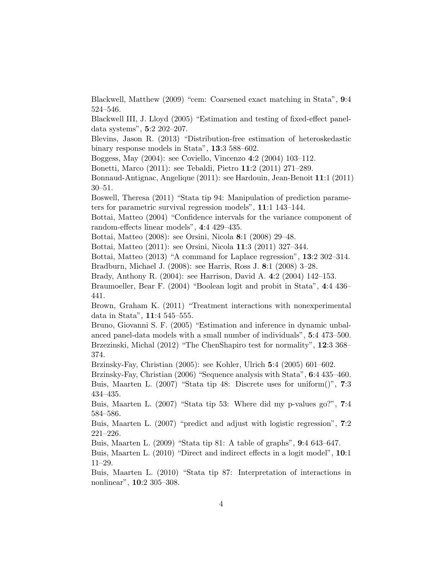Blackwell, Matthew (2009) "cem: Coarsened exact matching in Stata", 9:4 524–546.

Blackwell III, J. Lloyd (2005) "Estimation and testing of fixed-effect paneldata systems", 5:2 202–207.

Blevins, Jason R. (2013) "Distribution-free estimation of heteroskedastic binary response models in Stata", 13:3 588–602.

Boggess, May (2004): see Coviello, Vincenzo 4:2 (2004) 103–112.

Bonetti, Marco (2011): see Tebaldi, Pietro 11:2 (2011) 271–289.

Bonnaud-Antignac, Angelique (2011): see Hardouin, Jean-Benoit 11:1 (2011) 30–51.

Boswell, Theresa (2011) "Stata tip 94: Manipulation of prediction parameters for parametric survival regression models", 11:1 143–144.

Bottai, Matteo (2004) "Confidence intervals for the variance component of random-effects linear models", 4:4 429–435.

Bottai, Matteo (2008): see Orsini, Nicola 8:1 (2008) 29–48.

Bottai, Matteo (2011): see Orsini, Nicola 11:3 (2011) 327–344.

Bottai, Matteo (2013) "A command for Laplace regression", 13:2 302–314.

Bradburn, Michael J. (2008): see Harris, Ross J. 8:1 (2008) 3–28.

Brady, Anthony R. (2004): see Harrison, David A. 4:2 (2004) 142–153.

Braumoeller, Bear F. (2004) "Boolean logit and probit in Stata", 4:4 436– 441.

Brown, Graham K. (2011) "Treatment interactions with nonexperimental data in Stata", 11:4 545–555.

Bruno, Giovanni S. F. (2005) "Estimation and inference in dynamic unbalanced panel-data models with a small number of individuals", 5:4 473–500. Brzezinski, Michal (2012) "The ChenShapiro test for normality", 12:3 368– 374.

Brzinsky-Fay, Christian (2005): see Kohler, Ulrich 5:4 (2005) 601–602.

Brzinsky-Fay, Christian (2006) "Sequence analysis with Stata", 6:4 435–460.

Buis, Maarten L. (2007) "Stata tip 48: Discrete uses for uniform()", 7:3 434–435.

Buis, Maarten L. (2007) "Stata tip 53: Where did my p-values go?", 7:4 584–586.

Buis, Maarten L. (2007) "predict and adjust with logistic regression", 7:2 221–226.

Buis, Maarten L. (2009) "Stata tip 81: A table of graphs", 9:4 643–647.

Buis, Maarten L. (2010) "Direct and indirect effects in a logit model", 10:1 11–29.

Buis, Maarten L. (2010) "Stata tip 87: Interpretation of interactions in nonlinear", 10:2 305–308.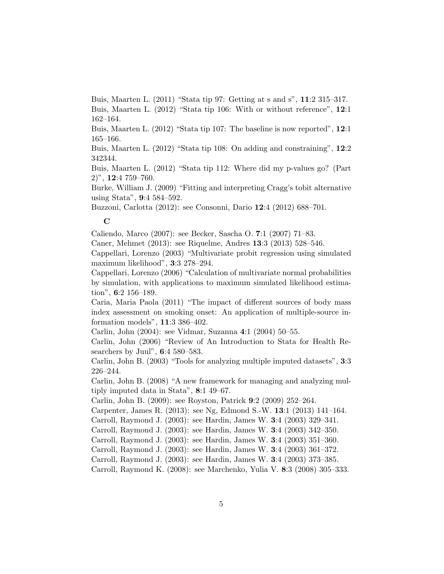Buis, Maarten L. (2011) "Stata tip 97: Getting at s and s", 11:2 315–317. Buis, Maarten L. (2012) "Stata tip 106: With or without reference", 12:1 162–164.

Buis, Maarten L. (2012) "Stata tip 107: The baseline is now reported", 12:1 165–166.

Buis, Maarten L. (2012) "Stata tip 108: On adding and constraining", 12:2 342344.

Buis, Maarten L. (2012) "Stata tip 112: Where did my p-values go? (Part 2)", 12:4 759–760.

Burke, William J. (2009) "Fitting and interpreting Cragg's tobit alternative using Stata", 9:4 584–592.

Buzzoni, Carlotta (2012): see Consonni, Dario 12:4 (2012) 688–701.

# $\overline{C}$

Caliendo, Marco (2007): see Becker, Sascha O. 7:1 (2007) 71–83.

Caner, Mehmet (2013): see Riquelme, Andres 13:3 (2013) 528–546.

Cappellari, Lorenzo (2003) "Multivariate probit regression using simulated maximum likelihood", 3:3 278–294.

Cappellari, Lorenzo (2006) "Calculation of multivariate normal probabilities by simulation, with applications to maximum simulated likelihood estimation", 6:2 156–189.

Caria, Maria Paola (2011) "The impact of different sources of body mass index assessment on smoking onset: An application of multiple-source information models", 11:3 386–402.

Carlin, John (2004): see Vidmar, Suzanna 4:1 (2004) 50–55.

Carlin, John (2006) "Review of An Introduction to Stata for Health Researchers by Juul", 6:4 580–583.

Carlin, John B. (2003) "Tools for analyzing multiple imputed datasets", 3:3 226–244.

Carlin, John B. (2008) "A new framework for managing and analyzing multiply imputed data in Stata", 8:1 49–67.

Carlin, John B. (2009): see Royston, Patrick 9:2 (2009) 252–264.

Carpenter, James R. (2013): see Ng, Edmond S.-W. 13:1 (2013) 141–164.

Carroll, Raymond J. (2003): see Hardin, James W. 3:4 (2003) 329–341.

Carroll, Raymond J. (2003): see Hardin, James W. 3:4 (2003) 342–350.

Carroll, Raymond J. (2003): see Hardin, James W. 3:4 (2003) 351–360.

Carroll, Raymond J. (2003): see Hardin, James W. 3:4 (2003) 361–372.

Carroll, Raymond J. (2003): see Hardin, James W. 3:4 (2003) 373–385.

Carroll, Raymond K. (2008): see Marchenko, Yulia V. 8:3 (2008) 305–333.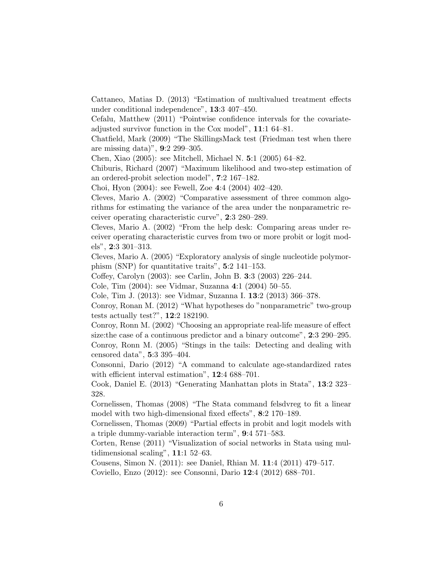Cattaneo, Matias D. (2013) "Estimation of multivalued treatment effects under conditional independence", 13:3 407–450.

Cefalu, Matthew (2011) "Pointwise confidence intervals for the covariateadjusted survivor function in the Cox model", 11:1 64–81.

Chatfield, Mark (2009) "The SkillingsMack test (Friedman test when there are missing data)", 9:2 299–305.

Chen, Xiao (2005): see Mitchell, Michael N. 5:1 (2005) 64–82.

Chiburis, Richard (2007) "Maximum likelihood and two-step estimation of an ordered-probit selection model", 7:2 167–182.

Choi, Hyon (2004): see Fewell, Zoe 4:4 (2004) 402–420.

Cleves, Mario A. (2002) "Comparative assessment of three common algorithms for estimating the variance of the area under the nonparametric receiver operating characteristic curve", 2:3 280–289.

Cleves, Mario A. (2002) "From the help desk: Comparing areas under receiver operating characteristic curves from two or more probit or logit models", 2:3 301–313.

Cleves, Mario A. (2005) "Exploratory analysis of single nucleotide polymorphism (SNP) for quantitative traits", 5:2 141–153.

Coffey, Carolyn (2003): see Carlin, John B. 3:3 (2003) 226–244.

Cole, Tim (2004): see Vidmar, Suzanna 4:1 (2004) 50–55.

Cole, Tim J. (2013): see Vidmar, Suzanna I. 13:2 (2013) 366–378.

Conroy, Ronan M. (2012) "What hypotheses do "nonparametric" two-group tests actually test?", 12:2 182190.

Conroy, Ronn M. (2002) "Choosing an appropriate real-life measure of effect size:the case of a continuous predictor and a binary outcome", 2:3 290–295. Conroy, Ronn M. (2005) "Stings in the tails: Detecting and dealing with censored data", 5:3 395–404.

Consonni, Dario (2012) "A command to calculate age-standardized rates with efficient interval estimation", 12:4 688-701.

Cook, Daniel E. (2013) "Generating Manhattan plots in Stata", 13:2 323– 328.

Cornelissen, Thomas (2008) "The Stata command felsdvreg to fit a linear model with two high-dimensional fixed effects", 8:2 170–189.

Cornelissen, Thomas (2009) "Partial effects in probit and logit models with a triple dummy-variable interaction term", 9:4 571–583.

Corten, Rense (2011) "Visualization of social networks in Stata using multidimensional scaling", 11:1 52–63.

Cousens, Simon N. (2011): see Daniel, Rhian M. 11:4 (2011) 479–517.

Coviello, Enzo (2012): see Consonni, Dario 12:4 (2012) 688–701.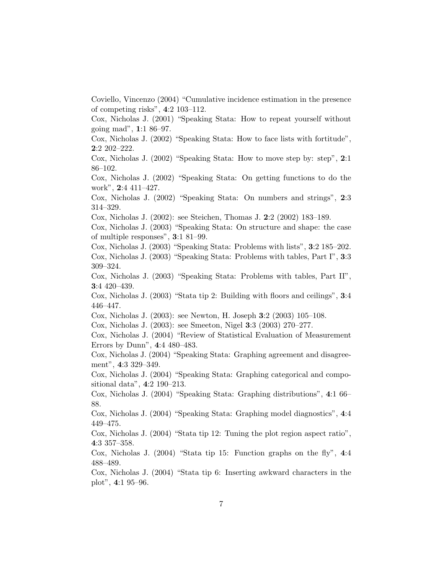Coviello, Vincenzo (2004) "Cumulative incidence estimation in the presence of competing risks", 4:2 103–112.

Cox, Nicholas J. (2001) "Speaking Stata: How to repeat yourself without going mad", 1:1 86–97.

Cox, Nicholas J. (2002) "Speaking Stata: How to face lists with fortitude", 2:2 202–222.

Cox, Nicholas J. (2002) "Speaking Stata: How to move step by: step", 2:1 86–102.

Cox, Nicholas J. (2002) "Speaking Stata: On getting functions to do the work", 2:4 411–427.

Cox, Nicholas J. (2002) "Speaking Stata: On numbers and strings", 2:3 314–329.

Cox, Nicholas J. (2002): see Steichen, Thomas J. 2:2 (2002) 183–189.

Cox, Nicholas J. (2003) "Speaking Stata: On structure and shape: the case of multiple responses", 3:1 81–99.

Cox, Nicholas J. (2003) "Speaking Stata: Problems with lists", 3:2 185–202. Cox, Nicholas J. (2003) "Speaking Stata: Problems with tables, Part I", 3:3 309–324.

Cox, Nicholas J. (2003) "Speaking Stata: Problems with tables, Part II", 3:4 420–439.

Cox, Nicholas J. (2003) "Stata tip 2: Building with floors and ceilings", 3:4 446–447.

Cox, Nicholas J. (2003): see Newton, H. Joseph 3:2 (2003) 105–108.

Cox, Nicholas J. (2003): see Smeeton, Nigel 3:3 (2003) 270–277.

Cox, Nicholas J. (2004) "Review of Statistical Evaluation of Measurement Errors by Dunn", 4:4 480–483.

Cox, Nicholas J. (2004) "Speaking Stata: Graphing agreement and disagreement", 4:3 329–349.

Cox, Nicholas J. (2004) "Speaking Stata: Graphing categorical and compositional data", 4:2 190–213.

Cox, Nicholas J. (2004) "Speaking Stata: Graphing distributions", 4:1 66– 88.

Cox, Nicholas J. (2004) "Speaking Stata: Graphing model diagnostics", 4:4 449–475.

Cox, Nicholas J. (2004) "Stata tip 12: Tuning the plot region aspect ratio", 4:3 357–358.

Cox, Nicholas J.  $(2004)$  "Stata tip 15: Function graphs on the fly", 4:4 488–489.

Cox, Nicholas J. (2004) "Stata tip 6: Inserting awkward characters in the plot", 4:1 95–96.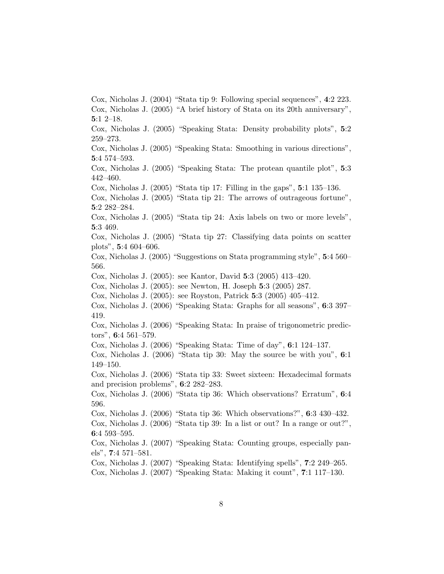Cox, Nicholas J. (2004) "Stata tip 9: Following special sequences", 4:2 223. Cox, Nicholas J. (2005) "A brief history of Stata on its 20th anniversary", 5:1 2–18.

Cox, Nicholas J. (2005) "Speaking Stata: Density probability plots", 5:2 259–273.

Cox, Nicholas J. (2005) "Speaking Stata: Smoothing in various directions", 5:4 574–593.

Cox, Nicholas J. (2005) "Speaking Stata: The protean quantile plot", 5:3 442–460.

Cox, Nicholas J. (2005) "Stata tip 17: Filling in the gaps", 5:1 135–136.

Cox, Nicholas J. (2005) "Stata tip 21: The arrows of outrageous fortune", 5:2 282–284.

Cox, Nicholas J. (2005) "Stata tip 24: Axis labels on two or more levels", 5:3 469.

Cox, Nicholas J. (2005) "Stata tip 27: Classifying data points on scatter plots", 5:4 604–606.

Cox, Nicholas J. (2005) "Suggestions on Stata programming style", 5:4 560– 566.

Cox, Nicholas J. (2005): see Kantor, David 5:3 (2005) 413–420.

Cox, Nicholas J. (2005): see Newton, H. Joseph 5:3 (2005) 287.

- Cox, Nicholas J. (2005): see Royston, Patrick 5:3 (2005) 405–412.
- Cox, Nicholas J. (2006) "Speaking Stata: Graphs for all seasons", 6:3 397– 419.
- Cox, Nicholas J. (2006) "Speaking Stata: In praise of trigonometric predictors", 6:4 561–579.

Cox, Nicholas J. (2006) "Speaking Stata: Time of day", 6:1 124–137.

Cox, Nicholas J. (2006) "Stata tip 30: May the source be with you", 6:1 149–150.

Cox, Nicholas J. (2006) "Stata tip 33: Sweet sixteen: Hexadecimal formats and precision problems", 6:2 282–283.

Cox, Nicholas J. (2006) "Stata tip 36: Which observations? Erratum", 6:4 596.

Cox, Nicholas J. (2006) "Stata tip 36: Which observations?", 6:3 430–432. Cox, Nicholas J. (2006) "Stata tip 39: In a list or out? In a range or out?", 6:4 593–595.

Cox, Nicholas J. (2007) "Speaking Stata: Counting groups, especially panels", 7:4 571–581.

Cox, Nicholas J. (2007) "Speaking Stata: Identifying spells", 7:2 249–265.

Cox, Nicholas J. (2007) "Speaking Stata: Making it count", 7:1 117–130.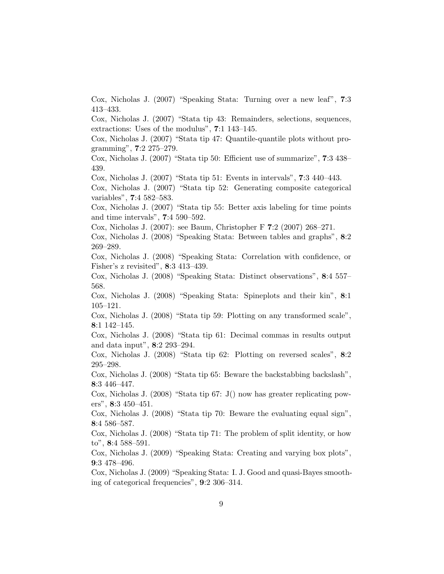Cox, Nicholas J. (2007) "Speaking Stata: Turning over a new leaf", 7:3 413–433.

Cox, Nicholas J. (2007) "Stata tip 43: Remainders, selections, sequences, extractions: Uses of the modulus", 7:1 143–145.

Cox, Nicholas J. (2007) "Stata tip 47: Quantile-quantile plots without programming", 7:2 275–279.

Cox, Nicholas J. (2007) "Stata tip 50: Efficient use of summarize", 7:3 438– 439.

Cox, Nicholas J. (2007) "Stata tip 51: Events in intervals", 7:3 440–443.

Cox, Nicholas J. (2007) "Stata tip 52: Generating composite categorical variables", 7:4 582–583.

Cox, Nicholas J. (2007) "Stata tip 55: Better axis labeling for time points and time intervals", 7:4 590–592.

Cox, Nicholas J. (2007): see Baum, Christopher F 7:2 (2007) 268–271.

Cox, Nicholas J. (2008) "Speaking Stata: Between tables and graphs", 8:2 269–289.

Cox, Nicholas J. (2008) "Speaking Stata: Correlation with confidence, or Fisher's z revisited", 8:3 413–439.

Cox, Nicholas J. (2008) "Speaking Stata: Distinct observations", 8:4 557– 568.

Cox, Nicholas J. (2008) "Speaking Stata: Spineplots and their kin", 8:1 105–121.

Cox, Nicholas J. (2008) "Stata tip 59: Plotting on any transformed scale", 8:1 142–145.

Cox, Nicholas J. (2008) "Stata tip 61: Decimal commas in results output and data input", 8:2 293–294.

Cox, Nicholas J. (2008) "Stata tip 62: Plotting on reversed scales", 8:2 295–298.

Cox, Nicholas J. (2008) "Stata tip 65: Beware the backstabbing backslash", 8:3 446–447.

Cox, Nicholas J. (2008) "Stata tip 67: J() now has greater replicating powers", 8:3 450–451.

Cox, Nicholas J. (2008) "Stata tip 70: Beware the evaluating equal sign", 8:4 586–587.

Cox, Nicholas J. (2008) "Stata tip 71: The problem of split identity, or how to", 8:4 588–591.

Cox, Nicholas J. (2009) "Speaking Stata: Creating and varying box plots", 9:3 478–496.

Cox, Nicholas J. (2009) "Speaking Stata: I. J. Good and quasi-Bayes smoothing of categorical frequencies", 9:2 306–314.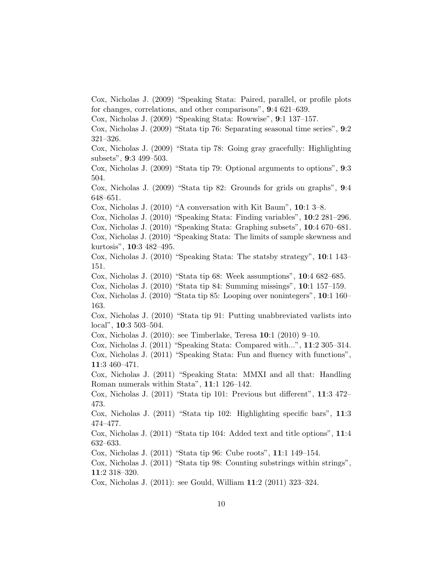Cox, Nicholas J. (2009) "Speaking Stata: Paired, parallel, or profile plots for changes, correlations, and other comparisons", 9:4 621–639.

Cox, Nicholas J. (2009) "Speaking Stata: Rowwise", 9:1 137–157.

Cox, Nicholas J. (2009) "Stata tip 76: Separating seasonal time series", 9:2 321–326.

Cox, Nicholas J. (2009) "Stata tip 78: Going gray gracefully: Highlighting subsets", 9:3 499–503.

Cox, Nicholas J. (2009) "Stata tip 79: Optional arguments to options", 9:3 504.

Cox, Nicholas J. (2009) "Stata tip 82: Grounds for grids on graphs", 9:4 648–651.

Cox, Nicholas J. (2010) "A conversation with Kit Baum", 10:1 3–8.

Cox, Nicholas J. (2010) "Speaking Stata: Finding variables", 10:2 281–296.

Cox, Nicholas J. (2010) "Speaking Stata: Graphing subsets", 10:4 670–681.

Cox, Nicholas J. (2010) "Speaking Stata: The limits of sample skewness and kurtosis", 10:3 482–495.

Cox, Nicholas J. (2010) "Speaking Stata: The statsby strategy", 10:1 143– 151.

Cox, Nicholas J. (2010) "Stata tip 68: Week assumptions", 10:4 682–685.

Cox, Nicholas J. (2010) "Stata tip 84: Summing missings", 10:1 157–159.

Cox, Nicholas J. (2010) "Stata tip 85: Looping over nonintegers", 10:1 160– 163.

Cox, Nicholas J. (2010) "Stata tip 91: Putting unabbreviated varlists into local", 10:3 503–504.

Cox, Nicholas J. (2010): see Timberlake, Teresa 10:1 (2010) 9–10.

Cox, Nicholas J. (2011) "Speaking Stata: Compared with...", 11:2 305–314.

Cox, Nicholas J. (2011) "Speaking Stata: Fun and fluency with functions", 11:3 460–471.

Cox, Nicholas J. (2011) "Speaking Stata: MMXI and all that: Handling Roman numerals within Stata", 11:1 126–142.

Cox, Nicholas J. (2011) "Stata tip 101: Previous but different", 11:3 472– 473.

Cox, Nicholas J. (2011) "Stata tip 102: Highlighting specific bars", 11:3 474–477.

Cox, Nicholas J. (2011) "Stata tip 104: Added text and title options", 11:4 632–633.

Cox, Nicholas J. (2011) "Stata tip 96: Cube roots", 11:1 149–154.

Cox, Nicholas J. (2011) "Stata tip 98: Counting substrings within strings", 11:2 318–320.

Cox, Nicholas J. (2011): see Gould, William 11:2 (2011) 323–324.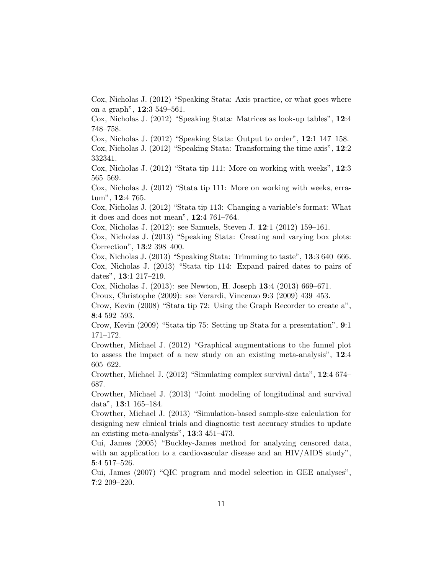Cox, Nicholas J. (2012) "Speaking Stata: Axis practice, or what goes where on a graph", 12:3 549–561.

Cox, Nicholas J. (2012) "Speaking Stata: Matrices as look-up tables", 12:4 748–758.

Cox, Nicholas J. (2012) "Speaking Stata: Output to order", 12:1 147–158.

Cox, Nicholas J. (2012) "Speaking Stata: Transforming the time axis", 12:2 332341.

Cox, Nicholas J. (2012) "Stata tip 111: More on working with weeks", 12:3 565–569.

Cox, Nicholas J. (2012) "Stata tip 111: More on working with weeks, erratum", 12:4 765.

Cox, Nicholas J. (2012) "Stata tip 113: Changing a variable's format: What it does and does not mean", 12:4 761–764.

Cox, Nicholas J. (2012): see Samuels, Steven J. 12:1 (2012) 159–161.

Cox, Nicholas J. (2013) "Speaking Stata: Creating and varying box plots: Correction", 13:2 398–400.

Cox, Nicholas J. (2013) "Speaking Stata: Trimming to taste", 13:3 640–666. Cox, Nicholas J. (2013) "Stata tip 114: Expand paired dates to pairs of dates", 13:1 217–219.

Cox, Nicholas J. (2013): see Newton, H. Joseph 13:4 (2013) 669–671.

Croux, Christophe (2009): see Verardi, Vincenzo 9:3 (2009) 439–453.

Crow, Kevin (2008) "Stata tip 72: Using the Graph Recorder to create a", 8:4 592–593.

Crow, Kevin (2009) "Stata tip 75: Setting up Stata for a presentation", 9:1 171–172.

Crowther, Michael J. (2012) "Graphical augmentations to the funnel plot to assess the impact of a new study on an existing meta-analysis", 12:4 605–622.

Crowther, Michael J. (2012) "Simulating complex survival data", 12:4 674– 687.

Crowther, Michael J. (2013) "Joint modeling of longitudinal and survival data", 13:1 165–184.

Crowther, Michael J. (2013) "Simulation-based sample-size calculation for designing new clinical trials and diagnostic test accuracy studies to update an existing meta-analysis", 13:3 451–473.

Cui, James (2005) "Buckley-James method for analyzing censored data, with an application to a cardiovascular disease and an HIV/AIDS study", 5:4 517–526.

Cui, James (2007) "QIC program and model selection in GEE analyses", 7:2 209–220.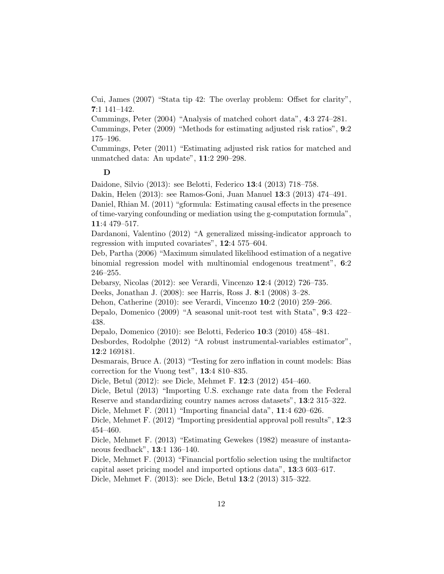Cui, James (2007) "Stata tip 42: The overlay problem: Offset for clarity", 7:1 141–142.

Cummings, Peter (2004) "Analysis of matched cohort data", 4:3 274–281.

Cummings, Peter (2009) "Methods for estimating adjusted risk ratios", 9:2 175–196.

Cummings, Peter (2011) "Estimating adjusted risk ratios for matched and unmatched data: An update", 11:2 290–298.

## D

Daidone, Silvio (2013): see Belotti, Federico 13:4 (2013) 718–758.

Dakin, Helen (2013): see Ramos-Goni, Juan Manuel 13:3 (2013) 474–491.

Daniel, Rhian M. (2011) "gformula: Estimating causal effects in the presence of time-varying confounding or mediation using the g-computation formula", 11:4 479–517.

Dardanoni, Valentino (2012) "A generalized missing-indicator approach to regression with imputed covariates", 12:4 575–604.

Deb, Partha (2006) "Maximum simulated likelihood estimation of a negative binomial regression model with multinomial endogenous treatment", 6:2 246–255.

Debarsy, Nicolas (2012): see Verardi, Vincenzo 12:4 (2012) 726–735.

Deeks, Jonathan J. (2008): see Harris, Ross J. 8:1 (2008) 3–28.

Dehon, Catherine (2010): see Verardi, Vincenzo 10:2 (2010) 259–266.

Depalo, Domenico (2009) "A seasonal unit-root test with Stata", 9:3 422– 438.

Depalo, Domenico (2010): see Belotti, Federico 10:3 (2010) 458–481.

Desbordes, Rodolphe (2012) "A robust instrumental-variables estimator", 12:2 169181.

Desmarais, Bruce A. (2013) "Testing for zero inflation in count models: Bias correction for the Vuong test", 13:4 810–835.

Dicle, Betul (2012): see Dicle, Mehmet F. 12:3 (2012) 454–460.

Dicle, Betul (2013) "Importing U.S. exchange rate data from the Federal Reserve and standardizing country names across datasets", 13:2 315–322.

Dicle, Mehmet F. (2011) "Importing financial data", 11:4 620–626.

Dicle, Mehmet F. (2012) "Importing presidential approval poll results", 12:3 454–460.

Dicle, Mehmet F. (2013) "Estimating Gewekes (1982) measure of instantaneous feedback", 13:1 136–140.

Dicle, Mehmet F. (2013) "Financial portfolio selection using the multifactor capital asset pricing model and imported options data", 13:3 603–617. Dicle, Mehmet F. (2013): see Dicle, Betul 13:2 (2013) 315–322.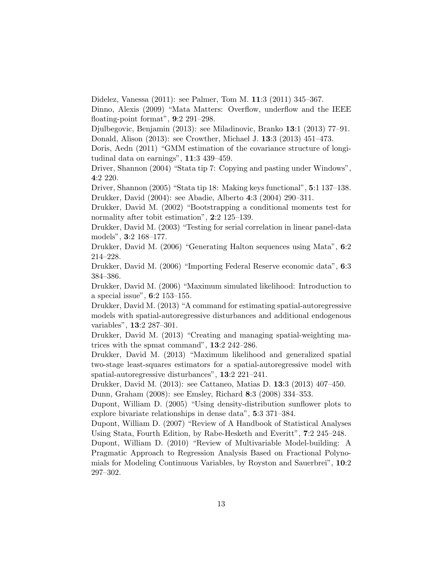Didelez, Vanessa (2011): see Palmer, Tom M. 11:3 (2011) 345–367.

Dinno, Alexis (2009) "Mata Matters: Overflow, underflow and the IEEE floating-point format", 9:2 291–298.

Djulbegovic, Benjamin (2013): see Miladinovic, Branko 13:1 (2013) 77–91. Donald, Alison (2013): see Crowther, Michael J. 13:3 (2013) 451–473.

Doris, Aedn (2011) "GMM estimation of the covariance structure of longitudinal data on earnings", 11:3 439–459.

Driver, Shannon (2004) "Stata tip 7: Copying and pasting under Windows", 4:2 220.

Driver, Shannon (2005) "Stata tip 18: Making keys functional", 5:1 137–138. Drukker, David (2004): see Abadie, Alberto 4:3 (2004) 290–311.

Drukker, David M. (2002) "Bootstrapping a conditional moments test for normality after tobit estimation", 2:2 125–139.

Drukker, David M. (2003) "Testing for serial correlation in linear panel-data models", 3:2 168–177.

Drukker, David M. (2006) "Generating Halton sequences using Mata", 6:2 214–228.

Drukker, David M. (2006) "Importing Federal Reserve economic data", 6:3 384–386.

Drukker, David M. (2006) "Maximum simulated likelihood: Introduction to a special issue", 6:2 153–155.

Drukker, David M. (2013) "A command for estimating spatial-autoregressive models with spatial-autoregressive disturbances and additional endogenous variables", 13:2 287–301.

Drukker, David M. (2013) "Creating and managing spatial-weighting matrices with the spmat command", 13:2 242–286.

Drukker, David M. (2013) "Maximum likelihood and generalized spatial two-stage least-squares estimators for a spatial-autoregressive model with spatial-autoregressive disturbances", 13:2 221–241.

Drukker, David M. (2013): see Cattaneo, Matias D. 13:3 (2013) 407–450. Dunn, Graham (2008): see Emsley, Richard 8:3 (2008) 334–353.

Dupont, William D. (2005) "Using density-distribution sunflower plots to explore bivariate relationships in dense data", 5:3 371–384.

Dupont, William D. (2007) "Review of A Handbook of Statistical Analyses Using Stata, Fourth Edition, by Rabe-Hesketh and Everitt", 7:2 245–248.

Dupont, William D. (2010) "Review of Multivariable Model-building: A Pragmatic Approach to Regression Analysis Based on Fractional Polynomials for Modeling Continuous Variables, by Royston and Sauerbrei", 10:2 297–302.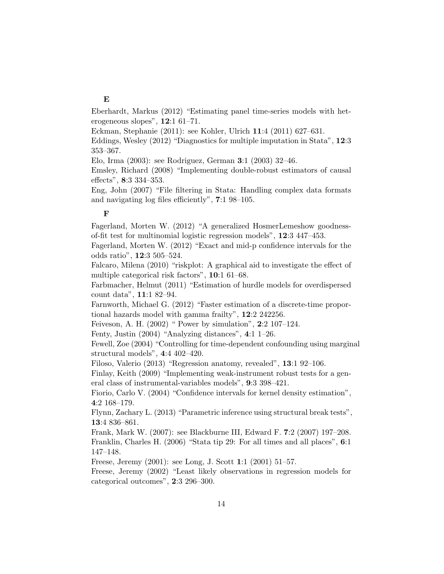# E

Eberhardt, Markus (2012) "Estimating panel time-series models with heterogeneous slopes", 12:1 61–71.

Eckman, Stephanie (2011): see Kohler, Ulrich 11:4 (2011) 627–631.

Eddings, Wesley (2012) "Diagnostics for multiple imputation in Stata", 12:3 353–367.

Elo, Irma (2003): see Rodriguez, German 3:1 (2003) 32–46.

Emsley, Richard (2008) "Implementing double-robust estimators of causal effects", 8:3 334–353.

Eng, John (2007) "File filtering in Stata: Handling complex data formats and navigating log files efficiently", 7:1 98–105.

#### F

Fagerland, Morten W. (2012) "A generalized HosmerLemeshow goodnessof-fit test for multinomial logistic regression models", 12:3 447–453.

Fagerland, Morten W. (2012) "Exact and mid-p confidence intervals for the odds ratio", 12:3 505–524.

Falcaro, Milena (2010) "riskplot: A graphical aid to investigate the effect of multiple categorical risk factors", 10:1 61–68.

Farbmacher, Helmut (2011) "Estimation of hurdle models for overdispersed count data", 11:1 82–94.

Farnworth, Michael G. (2012) "Faster estimation of a discrete-time proportional hazards model with gamma frailty", 12:2 242256.

Feiveson, A. H. (2002) " Power by simulation", 2:2 107–124.

Fenty, Justin (2004) "Analyzing distances", 4:1 1–26.

Fewell, Zoe (2004) "Controlling for time-dependent confounding using marginal structural models", 4:4 402–420.

Filoso, Valerio (2013) "Regression anatomy, revealed", 13:1 92–106.

Finlay, Keith (2009) "Implementing weak-instrument robust tests for a general class of instrumental-variables models", 9:3 398–421.

Fiorio, Carlo V. (2004) "Confidence intervals for kernel density estimation", 4:2 168–179.

Flynn, Zachary L. (2013) "Parametric inference using structural break tests", 13:4 836–861.

Frank, Mark W. (2007): see Blackburne III, Edward F. 7:2 (2007) 197–208. Franklin, Charles H. (2006) "Stata tip 29: For all times and all places", 6:1 147–148.

Freese, Jeremy (2001): see Long, J. Scott 1:1 (2001) 51–57.

Freese, Jeremy (2002) "Least likely observations in regression models for categorical outcomes", 2:3 296–300.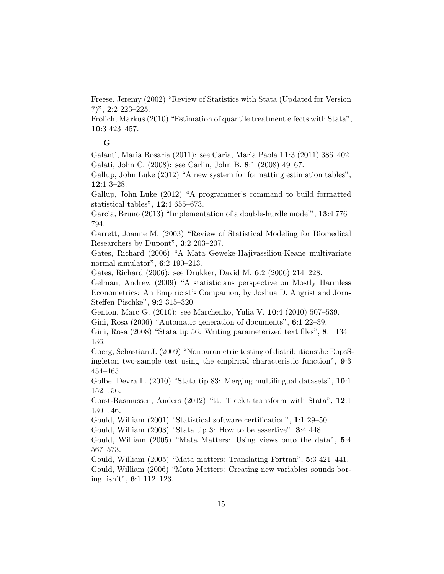Freese, Jeremy (2002) "Review of Statistics with Stata (Updated for Version  $(7)$ ", **2**:2 223–225.

Frolich, Markus (2010) "Estimation of quantile treatment effects with Stata", 10:3 423–457.

## G

Galanti, Maria Rosaria (2011): see Caria, Maria Paola 11:3 (2011) 386–402. Galati, John C. (2008): see Carlin, John B. 8:1 (2008) 49–67.

Gallup, John Luke (2012) "A new system for formatting estimation tables", 12:1 3–28.

Gallup, John Luke (2012) "A programmer's command to build formatted statistical tables", 12:4 655–673.

Garcia, Bruno (2013) "Implementation of a double-hurdle model", 13:4 776– 794.

Garrett, Joanne M. (2003) "Review of Statistical Modeling for Biomedical Researchers by Dupont", 3:2 203–207.

Gates, Richard (2006) "A Mata Geweke-Hajivassiliou-Keane multivariate normal simulator", 6:2 190–213.

Gates, Richard (2006): see Drukker, David M. 6:2 (2006) 214–228.

Gelman, Andrew (2009) "A statisticians perspective on Mostly Harmless Econometrics: An Empiricist's Companion, by Joshua D. Angrist and Jorn-Steffen Pischke", 9:2 315–320.

Genton, Marc G. (2010): see Marchenko, Yulia V. 10:4 (2010) 507–539.

Gini, Rosa (2006) "Automatic generation of documents", 6:1 22–39.

Gini, Rosa (2008) "Stata tip 56: Writing parameterized text files", 8:1 134– 136.

Goerg, Sebastian J. (2009) "Nonparametric testing of distributionsthe EppsSingleton two-sample test using the empirical characteristic function", 9:3 454–465.

Golbe, Devra L. (2010) "Stata tip 83: Merging multilingual datasets", 10:1 152–156.

Gorst-Rasmussen, Anders (2012) "tt: Treelet transform with Stata", 12:1 130–146.

Gould, William (2001) "Statistical software certification", 1:1 29–50.

Gould, William (2003) "Stata tip 3: How to be assertive", 3:4 448.

Gould, William (2005) "Mata Matters: Using views onto the data", 5:4 567–573.

Gould, William (2005) "Mata matters: Translating Fortran", 5:3 421–441.

Gould, William (2006) "Mata Matters: Creating new variables–sounds boring, isn't", 6:1 112–123.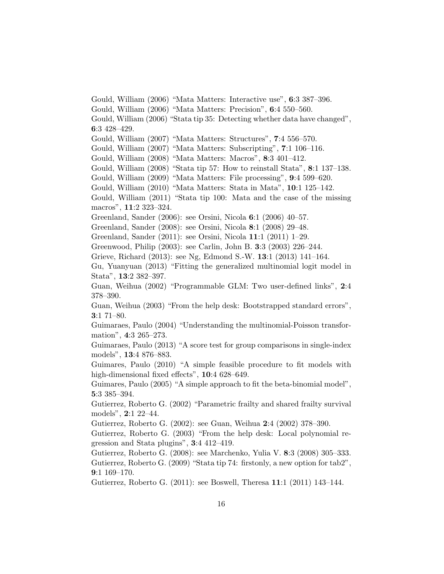Gould, William (2006) "Mata Matters: Interactive use", 6:3 387–396. Gould, William (2006) "Mata Matters: Precision", 6:4 550–560. Gould, William (2006) "Stata tip 35: Detecting whether data have changed", 6:3 428–429. Gould, William (2007) "Mata Matters: Structures", 7:4 556–570. Gould, William (2007) "Mata Matters: Subscripting", 7:1 106–116. Gould, William (2008) "Mata Matters: Macros", 8:3 401–412. Gould, William (2008) "Stata tip 57: How to reinstall Stata", 8:1 137–138. Gould, William (2009) "Mata Matters: File processing", 9:4 599–620. Gould, William (2010) "Mata Matters: Stata in Mata", 10:1 125–142. Gould, William (2011) "Stata tip 100: Mata and the case of the missing macros", 11:2 323–324. Greenland, Sander (2006): see Orsini, Nicola 6:1 (2006) 40–57. Greenland, Sander (2008): see Orsini, Nicola 8:1 (2008) 29–48. Greenland, Sander (2011): see Orsini, Nicola 11:1 (2011) 1–29. Greenwood, Philip (2003): see Carlin, John B. 3:3 (2003) 226–244. Grieve, Richard (2013): see Ng, Edmond S.-W. 13:1 (2013) 141–164. Gu, Yuanyuan (2013) "Fitting the generalized multinomial logit model in Stata", 13:2 382–397. Guan, Weihua (2002) "Programmable GLM: Two user-defined links", 2:4 378–390. Guan, Weihua (2003) "From the help desk: Bootstrapped standard errors", 3:1 71–80. Guimaraes, Paulo (2004) "Understanding the multinomial-Poisson transformation", 4:3 265–273. Guimaraes, Paulo (2013) "A score test for group comparisons in single-index models", 13:4 876–883. Guimares, Paulo (2010) "A simple feasible procedure to fit models with high-dimensional fixed effects", 10:4 628-649. Guimares, Paulo (2005) "A simple approach to fit the beta-binomial model", 5:3 385–394. Gutierrez, Roberto G. (2002) "Parametric frailty and shared frailty survival models", 2:1 22–44. Gutierrez, Roberto G. (2002): see Guan, Weihua 2:4 (2002) 378–390. Gutierrez, Roberto G. (2003) "From the help desk: Local polynomial regression and Stata plugins", 3:4 412–419. Gutierrez, Roberto G. (2008): see Marchenko, Yulia V. 8:3 (2008) 305–333. Gutierrez, Roberto G. (2009) "Stata tip 74: firstonly, a new option for tab2", 9:1 169–170. Gutierrez, Roberto G. (2011): see Boswell, Theresa 11:1 (2011) 143–144.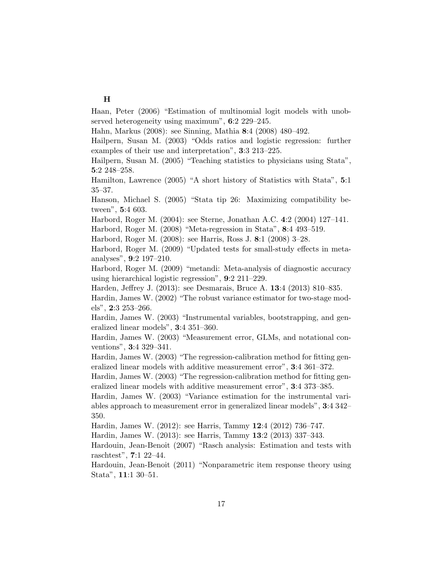#### $\mathbf H$

Haan, Peter (2006) "Estimation of multinomial logit models with unobserved heterogeneity using maximum", 6:2 229–245.

Hahn, Markus (2008): see Sinning, Mathia 8:4 (2008) 480–492.

Hailpern, Susan M. (2003) "Odds ratios and logistic regression: further examples of their use and interpretation", 3:3 213–225.

Hailpern, Susan M. (2005) "Teaching statistics to physicians using Stata", 5:2 248–258.

Hamilton, Lawrence (2005) "A short history of Statistics with Stata", 5:1 35–37.

Hanson, Michael S. (2005) "Stata tip 26: Maximizing compatibility between", 5:4 603.

Harbord, Roger M. (2004): see Sterne, Jonathan A.C. 4:2 (2004) 127–141.

Harbord, Roger M. (2008) "Meta-regression in Stata", 8:4 493–519.

Harbord, Roger M. (2008): see Harris, Ross J. 8:1 (2008) 3–28.

Harbord, Roger M. (2009) "Updated tests for small-study effects in metaanalyses", 9:2 197–210.

Harbord, Roger M. (2009) "metandi: Meta-analysis of diagnostic accuracy using hierarchical logistic regression", 9:2 211–229.

Harden, Jeffrey J. (2013): see Desmarais, Bruce A. 13:4 (2013) 810–835.

Hardin, James W. (2002) "The robust variance estimator for two-stage models", 2:3 253–266.

Hardin, James W. (2003) "Instrumental variables, bootstrapping, and generalized linear models", 3:4 351–360.

Hardin, James W. (2003) "Measurement error, GLMs, and notational conventions", 3:4 329–341.

Hardin, James W. (2003) "The regression-calibration method for fitting generalized linear models with additive measurement error", 3:4 361–372.

Hardin, James W. (2003) "The regression-calibration method for fitting generalized linear models with additive measurement error", 3:4 373–385.

Hardin, James W. (2003) "Variance estimation for the instrumental variables approach to measurement error in generalized linear models", 3:4 342– 350.

Hardin, James W. (2012): see Harris, Tammy 12:4 (2012) 736–747.

Hardin, James W. (2013): see Harris, Tammy 13:2 (2013) 337–343.

Hardouin, Jean-Benoit (2007) "Rasch analysis: Estimation and tests with raschtest", 7:1 22–44.

Hardouin, Jean-Benoit (2011) "Nonparametric item response theory using Stata", 11:1 30–51.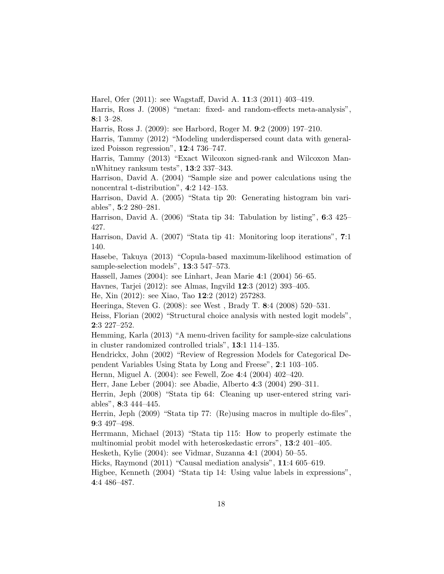Harel, Ofer (2011): see Wagstaff, David A. 11:3 (2011) 403–419.

Harris, Ross J. (2008) "metan: fixed- and random-effects meta-analysis", 8:1 3–28.

Harris, Ross J. (2009): see Harbord, Roger M. 9:2 (2009) 197–210.

Harris, Tammy (2012) "Modeling underdispersed count data with generalized Poisson regression", 12:4 736–747.

Harris, Tammy (2013) "Exact Wilcoxon signed-rank and Wilcoxon MannWhitney ranksum tests", 13:2 337–343.

Harrison, David A. (2004) "Sample size and power calculations using the noncentral t-distribution", 4:2 142–153.

Harrison, David A. (2005) "Stata tip 20: Generating histogram bin variables", 5:2 280–281.

Harrison, David A. (2006) "Stata tip 34: Tabulation by listing", 6:3 425– 427.

Harrison, David A. (2007) "Stata tip 41: Monitoring loop iterations", 7:1 140.

Hasebe, Takuya (2013) "Copula-based maximum-likelihood estimation of sample-selection models", 13:3 547–573.

Hassell, James (2004): see Linhart, Jean Marie 4:1 (2004) 56–65.

Havnes, Tarjei (2012): see Almas, Ingvild 12:3 (2012) 393–405.

He, Xin (2012): see Xiao, Tao 12:2 (2012) 257283.

Heeringa, Steven G. (2008): see West , Brady T. 8:4 (2008) 520–531.

Heiss, Florian (2002) "Structural choice analysis with nested logit models", 2:3 227–252.

Hemming, Karla (2013) "A menu-driven facility for sample-size calculations in cluster randomized controlled trials", 13:1 114–135.

Hendrickx, John (2002) "Review of Regression Models for Categorical Dependent Variables Using Stata by Long and Freese", 2:1 103–105.

Hernn, Miguel A. (2004): see Fewell, Zoe 4:4 (2004) 402–420.

Herr, Jane Leber (2004): see Abadie, Alberto 4:3 (2004) 290–311.

Herrin, Jeph (2008) "Stata tip 64: Cleaning up user-entered string variables", 8:3 444–445.

Herrin, Jeph (2009) "Stata tip 77: (Re)using macros in multiple do-files", 9:3 497–498.

Herrmann, Michael (2013) "Stata tip 115: How to properly estimate the multinomial probit model with heteroskedastic errors", 13:2 401–405.

Hesketh, Kylie (2004): see Vidmar, Suzanna 4:1 (2004) 50–55.

Hicks, Raymond (2011) "Causal mediation analysis", 11:4 605–619.

Higbee, Kenneth (2004) "Stata tip 14: Using value labels in expressions", 4:4 486–487.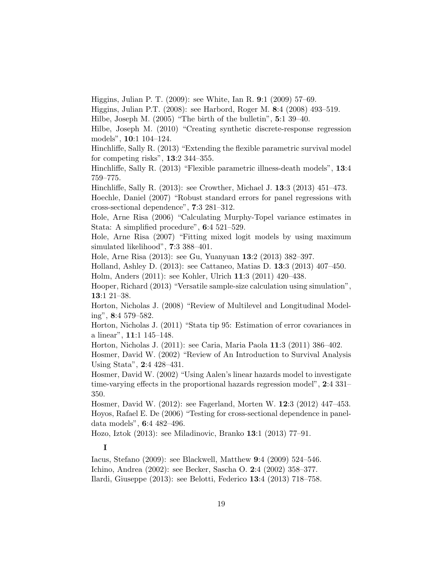Higgins, Julian P. T. (2009): see White, Ian R. 9:1 (2009) 57–69.

Higgins, Julian P.T. (2008): see Harbord, Roger M. 8:4 (2008) 493–519.

Hilbe, Joseph M. (2005) "The birth of the bulletin", 5:1 39–40.

Hilbe, Joseph M. (2010) "Creating synthetic discrete-response regression models", 10:1 104–124.

Hinchliffe, Sally R. (2013) "Extending the flexible parametric survival model for competing risks", 13:2 344–355.

Hinchliffe, Sally R. (2013) "Flexible parametric illness-death models", 13:4 759–775.

Hinchliffe, Sally R. (2013): see Crowther, Michael J. 13:3 (2013) 451–473.

Hoechle, Daniel (2007) "Robust standard errors for panel regressions with cross-sectional dependence", 7:3 281–312.

Hole, Arne Risa (2006) "Calculating Murphy-Topel variance estimates in Stata: A simplified procedure", 6:4 521–529.

Hole, Arne Risa (2007) "Fitting mixed logit models by using maximum simulated likelihood", 7:3 388–401.

Hole, Arne Risa (2013): see Gu, Yuanyuan 13:2 (2013) 382–397.

Holland, Ashley D. (2013): see Cattaneo, Matias D. 13:3 (2013) 407–450. Holm, Anders (2011): see Kohler, Ulrich 11:3 (2011) 420–438.

Hooper, Richard (2013) "Versatile sample-size calculation using simulation", 13:1 21–38.

Horton, Nicholas J. (2008) "Review of Multilevel and Longitudinal Modeling", 8:4 579–582.

Horton, Nicholas J. (2011) "Stata tip 95: Estimation of error covariances in a linear", 11:1 145–148.

Horton, Nicholas J. (2011): see Caria, Maria Paola 11:3 (2011) 386–402.

Hosmer, David W. (2002) "Review of An Introduction to Survival Analysis Using Stata", 2:4 428–431.

Hosmer, David W. (2002) "Using Aalen's linear hazards model to investigate time-varying effects in the proportional hazards regression model", 2:4 331– 350.

Hosmer, David W. (2012): see Fagerland, Morten W. 12:3 (2012) 447–453. Hoyos, Rafael E. De (2006) "Testing for cross-sectional dependence in paneldata models", 6:4 482–496.

Hozo, Iztok (2013): see Miladinovic, Branko 13:1 (2013) 77–91.

## I

Iacus, Stefano (2009): see Blackwell, Matthew 9:4 (2009) 524–546. Ichino, Andrea (2002): see Becker, Sascha O. 2:4 (2002) 358–377. Ilardi, Giuseppe (2013): see Belotti, Federico 13:4 (2013) 718–758.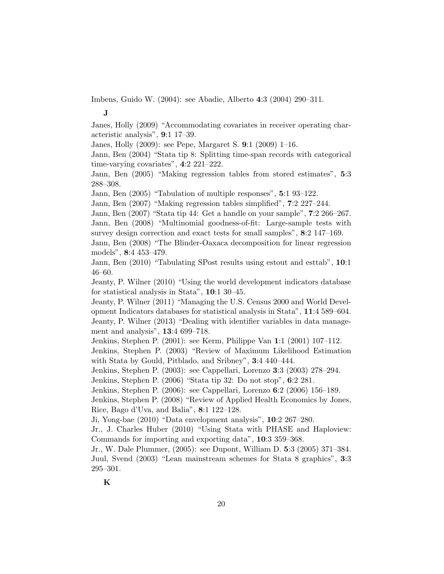Imbens, Guido W. (2004): see Abadie, Alberto 4:3 (2004) 290–311.

J

Janes, Holly (2009) "Accommodating covariates in receiver operating characteristic analysis", 9:1 17–39.

Janes, Holly (2009): see Pepe, Margaret S. 9:1 (2009) 1–16.

Jann, Ben (2004) "Stata tip 8: Splitting time-span records with categorical time-varying covariates", 4:2 221–222.

Jann, Ben (2005) "Making regression tables from stored estimates", 5:3 288–308.

Jann, Ben (2005) "Tabulation of multiple responses", 5:1 93–122.

Jann, Ben (2007) "Making regression tables simplified", 7:2 227–244.

Jann, Ben (2007) "Stata tip 44: Get a handle on your sample", 7:2 266–267. Jann, Ben (2008) "Multinomial goodness-of-fit: Large-sample tests with survey design correction and exact tests for small samples", 8:2 147–169.

Jann, Ben (2008) "The Blinder-Oaxaca decomposition for linear regression models", 8:4 453–479.

Jann, Ben (2010) "Tabulating SPost results using estout and esttab", 10:1 46–60.

Jeanty, P. Wilner (2010) "Using the world development indicators database for statistical analysis in Stata", 10:1 30–45.

Jeanty, P. Wilner (2011) "Managing the U.S. Census 2000 and World Development Indicators databases for statistical analysis in Stata", 11:4 589–604. Jeanty, P. Wilner (2013) "Dealing with identifier variables in data management and analysis", 13:4 699–718.

Jenkins, Stephen P. (2001): see Kerm, Philippe Van 1:1 (2001) 107–112.

Jenkins, Stephen P. (2003) "Review of Maximum Likelihood Estimation with Stata by Gould, Pitblado, and Sribney", 3:4 440–444.

Jenkins, Stephen P. (2003): see Cappellari, Lorenzo 3:3 (2003) 278–294.

Jenkins, Stephen P. (2006) "Stata tip 32: Do not stop", 6:2 281.

Jenkins, Stephen P. (2006): see Cappellari, Lorenzo 6:2 (2006) 156–189.

Jenkins, Stephen P. (2008) "Review of Applied Health Economics by Jones, Rice, Bago d'Uva, and Balia", 8:1 122–128.

Ji, Yong-bae (2010) "Data envelopment analysis", 10:2 267–280.

Jr., J. Charles Huber (2010) "Using Stata with PHASE and Haploview: Commands for importing and exporting data", 10:3 359–368.

Jr., W. Dale Plummer, (2005): see Dupont, William D. 5:3 (2005) 371–384. Juul, Svend (2003) "Lean mainstream schemes for Stata 8 graphics", 3:3 295–301.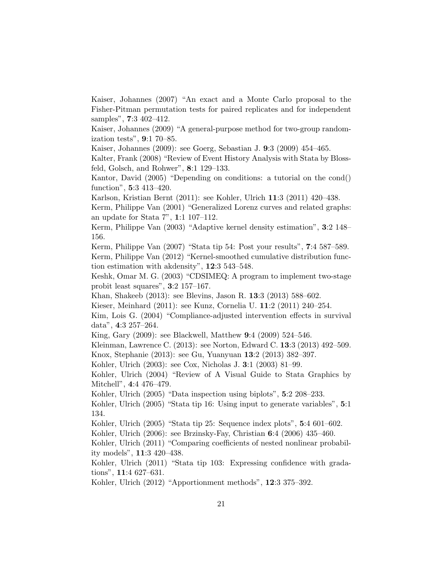Kaiser, Johannes (2007) "An exact and a Monte Carlo proposal to the Fisher-Pitman permutation tests for paired replicates and for independent samples", 7:3 402–412.

Kaiser, Johannes (2009) "A general-purpose method for two-group randomization tests", 9:1 70–85.

Kaiser, Johannes (2009): see Goerg, Sebastian J. 9:3 (2009) 454–465.

Kalter, Frank (2008) "Review of Event History Analysis with Stata by Blossfeld, Golsch, and Rohwer", 8:1 129–133.

Kantor, David (2005) "Depending on conditions: a tutorial on the cond() function", 5:3 413–420.

Karlson, Kristian Bernt (2011): see Kohler, Ulrich 11:3 (2011) 420–438.

Kerm, Philippe Van (2001) "Generalized Lorenz curves and related graphs: an update for Stata 7", 1:1 107–112.

Kerm, Philippe Van (2003) "Adaptive kernel density estimation", 3:2 148– 156.

Kerm, Philippe Van (2007) "Stata tip 54: Post your results", 7:4 587–589.

Kerm, Philippe Van (2012) "Kernel-smoothed cumulative distribution function estimation with akdensity", 12:3 543–548.

Keshk, Omar M. G. (2003) "CDSIMEQ: A program to implement two-stage probit least squares", 3:2 157–167.

Khan, Shakeeb (2013): see Blevins, Jason R. 13:3 (2013) 588–602.

Kieser, Meinhard (2011): see Kunz, Cornelia U. 11:2 (2011) 240–254.

Kim, Lois G. (2004) "Compliance-adjusted intervention effects in survival data", 4:3 257–264.

King, Gary (2009): see Blackwell, Matthew 9:4 (2009) 524–546.

Kleinman, Lawrence C. (2013): see Norton, Edward C. 13:3 (2013) 492–509.

Knox, Stephanie (2013): see Gu, Yuanyuan 13:2 (2013) 382–397.

Kohler, Ulrich (2003): see Cox, Nicholas J. 3:1 (2003) 81–99.

Kohler, Ulrich (2004) "Review of A Visual Guide to Stata Graphics by Mitchell", 4:4 476–479.

Kohler, Ulrich (2005) "Data inspection using biplots", 5:2 208–233.

Kohler, Ulrich (2005) "Stata tip 16: Using input to generate variables", 5:1 134.

Kohler, Ulrich (2005) "Stata tip 25: Sequence index plots", 5:4 601–602.

Kohler, Ulrich (2006): see Brzinsky-Fay, Christian 6:4 (2006) 435–460.

Kohler, Ulrich (2011) "Comparing coefficients of nested nonlinear probability models", 11:3 420–438.

Kohler, Ulrich (2011) "Stata tip 103: Expressing confidence with gradations", 11:4 627–631.

Kohler, Ulrich (2012) "Apportionment methods", 12:3 375–392.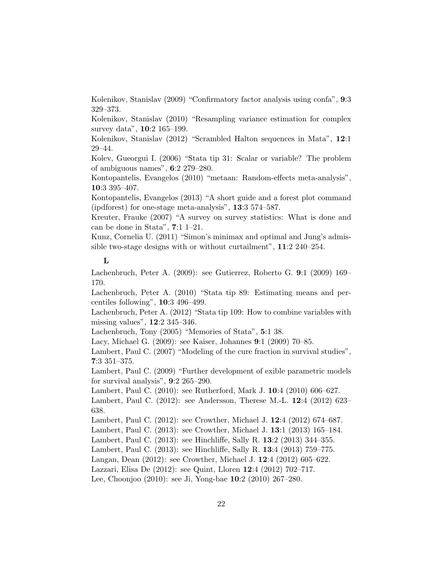Kolenikov, Stanislav (2009) "Confirmatory factor analysis using confa", 9:3 329–373.

Kolenikov, Stanislav (2010) "Resampling variance estimation for complex survey data", 10:2 165–199.

Kolenikov, Stanislav (2012) "Scrambled Halton sequences in Mata", 12:1 29–44.

Kolev, Gueorgui I. (2006) "Stata tip 31: Scalar or variable? The problem of ambiguous names", 6:2 279–280.

Kontopantelis, Evangelos (2010) "metaan: Random-effects meta-analysis", 10:3 395–407.

Kontopantelis, Evangelos (2013) "A short guide and a forest plot command (ipdforest) for one-stage meta-analysis", 13:3 574–587.

Kreuter, Frauke (2007) "A survey on survey statistics: What is done and can be done in Stata", 7:1 1–21.

Kunz, Cornelia U. (2011) "Simon's minimax and optimal and Jung's admissible two-stage designs with or without curtailment", 11:2 240–254.

#### L

Lachenbruch, Peter A. (2009): see Gutierrez, Roberto G. 9:1 (2009) 169– 170.

Lachenbruch, Peter A. (2010) "Stata tip 89: Estimating means and percentiles following", 10:3 496–499.

Lachenbruch, Peter A. (2012) "Stata tip 109: How to combine variables with missing values", 12:2 345–346.

Lachenbruch, Tony (2005) "Memories of Stata", 5:1 38.

Lacy, Michael G. (2009): see Kaiser, Johannes 9:1 (2009) 70–85.

Lambert, Paul C. (2007) "Modeling of the cure fraction in survival studies", 7:3 351–375.

Lambert, Paul C. (2009) "Further development of exible parametric models for survival analysis", 9:2 265–290.

Lambert, Paul C. (2010): see Rutherford, Mark J. 10:4 (2010) 606–627.

Lambert, Paul C. (2012): see Andersson, Therese M.-L. 12:4 (2012) 623– 638.

Lambert, Paul C. (2012): see Crowther, Michael J. 12:4 (2012) 674–687.

Lambert, Paul C. (2013): see Crowther, Michael J. 13:1 (2013) 165–184.

Lambert, Paul C. (2013): see Hinchliffe, Sally R. 13:2 (2013) 344–355.

Lambert, Paul C. (2013): see Hinchliffe, Sally R. 13:4 (2013) 759–775.

Langan, Dean (2012): see Crowther, Michael J. 12:4 (2012) 605–622.

Lazzari, Elisa De (2012): see Quint, Lloren 12:4 (2012) 702–717.

Lee, Choonjoo (2010): see Ji, Yong-bae 10:2 (2010) 267–280.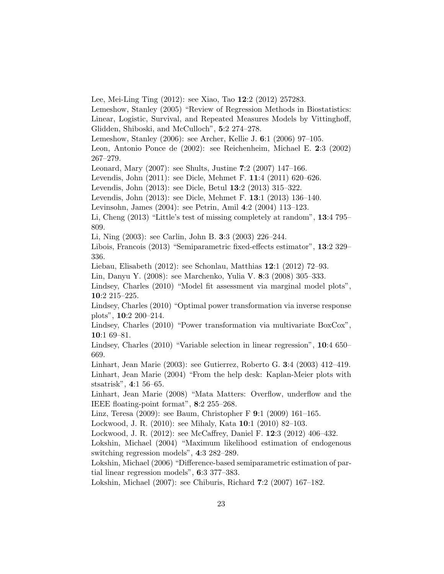Lee, Mei-Ling Ting (2012): see Xiao, Tao 12:2 (2012) 257283.

Lemeshow, Stanley (2005) "Review of Regression Methods in Biostatistics: Linear, Logistic, Survival, and Repeated Measures Models by Vittinghoff, Glidden, Shiboski, and McCulloch", 5:2 274–278.

Lemeshow, Stanley (2006): see Archer, Kellie J. 6:1 (2006) 97–105.

Leon, Antonio Ponce de (2002): see Reichenheim, Michael E. 2:3 (2002) 267–279.

Leonard, Mary (2007): see Shults, Justine 7:2 (2007) 147–166.

Levendis, John (2011): see Dicle, Mehmet F. 11:4 (2011) 620–626.

Levendis, John (2013): see Dicle, Betul 13:2 (2013) 315–322.

Levendis, John (2013): see Dicle, Mehmet F. 13:1 (2013) 136–140.

Levinsohn, James (2004): see Petrin, Amil 4:2 (2004) 113–123.

Li, Cheng (2013) "Little's test of missing completely at random", 13:4 795– 809.

Li, Ning (2003): see Carlin, John B. 3:3 (2003) 226–244.

Libois, Francois (2013) "Semiparametric fixed-effects estimator", 13:2 329– 336.

Liebau, Elisabeth (2012): see Schonlau, Matthias 12:1 (2012) 72–93.

Lin, Danyu Y. (2008): see Marchenko, Yulia V. 8:3 (2008) 305–333.

Lindsey, Charles (2010) "Model fit assessment via marginal model plots", 10:2 215–225.

Lindsey, Charles (2010) "Optimal power transformation via inverse response plots", 10:2 200–214.

Lindsey, Charles (2010) "Power transformation via multivariate BoxCox", 10:1 69–81.

Lindsey, Charles (2010) "Variable selection in linear regression", 10:4 650– 669.

Linhart, Jean Marie (2003): see Gutierrez, Roberto G. 3:4 (2003) 412–419. Linhart, Jean Marie (2004) "From the help desk: Kaplan-Meier plots with stsatrisk", 4:1 56–65.

Linhart, Jean Marie (2008) "Mata Matters: Overflow, underflow and the IEEE floating-point format", 8:2 255–268.

Linz, Teresa (2009): see Baum, Christopher F 9:1 (2009) 161–165.

Lockwood, J. R. (2010): see Mihaly, Kata 10:1 (2010) 82–103.

Lockwood, J. R. (2012): see McCaffrey, Daniel F. 12:3 (2012) 406–432.

Lokshin, Michael (2004) "Maximum likelihood estimation of endogenous switching regression models", 4:3 282–289.

Lokshin, Michael (2006) "Difference-based semiparametric estimation of partial linear regression models", 6:3 377–383.

Lokshin, Michael (2007): see Chiburis, Richard 7:2 (2007) 167–182.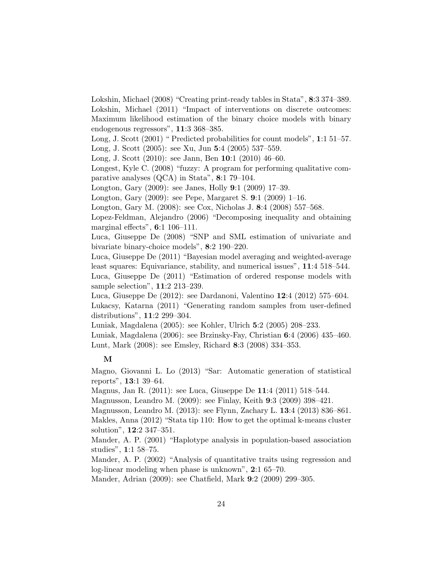Lokshin, Michael (2008) "Creating print-ready tables in Stata", 8:3 374–389. Lokshin, Michael (2011) "Impact of interventions on discrete outcomes: Maximum likelihood estimation of the binary choice models with binary endogenous regressors", 11:3 368–385.

Long, J. Scott (2001) " Predicted probabilities for count models", 1:1 51–57. Long, J. Scott (2005): see Xu, Jun 5:4 (2005) 537–559.

Long, J. Scott (2010): see Jann, Ben 10:1 (2010) 46–60.

Longest, Kyle C. (2008) "fuzzy: A program for performing qualitative comparative analyses (QCA) in Stata", 8:1 79–104.

Longton, Gary (2009): see Janes, Holly 9:1 (2009) 17–39.

Longton, Gary (2009): see Pepe, Margaret S. 9:1 (2009) 1–16.

Longton, Gary M. (2008): see Cox, Nicholas J. 8:4 (2008) 557–568.

Lopez-Feldman, Alejandro (2006) "Decomposing inequality and obtaining marginal effects", 6:1 106–111.

Luca, Giuseppe De (2008) "SNP and SML estimation of univariate and bivariate binary-choice models", 8:2 190–220.

Luca, Giuseppe De (2011) "Bayesian model averaging and weighted-average least squares: Equivariance, stability, and numerical issues", 11:4 518–544. Luca, Giuseppe De (2011) "Estimation of ordered response models with sample selection", 11:2 213–239.

Luca, Giuseppe De (2012): see Dardanoni, Valentino 12:4 (2012) 575–604. Lukacsy, Katarna (2011) "Generating random samples from user-defined distributions", 11:2 299–304.

Luniak, Magdalena (2005): see Kohler, Ulrich 5:2 (2005) 208–233.

Luniak, Magdalena (2006): see Brzinsky-Fay, Christian 6:4 (2006) 435–460. Lunt, Mark (2008): see Emsley, Richard 8:3 (2008) 334–353.

## M

Magno, Giovanni L. Lo (2013) "Sar: Automatic generation of statistical reports", 13:1 39–64.

Magnus, Jan R. (2011): see Luca, Giuseppe De 11:4 (2011) 518–544.

Magnusson, Leandro M. (2009): see Finlay, Keith 9:3 (2009) 398–421.

Magnusson, Leandro M. (2013): see Flynn, Zachary L. 13:4 (2013) 836–861.

Makles, Anna (2012) "Stata tip 110: How to get the optimal k-means cluster solution", 12:2 347–351.

Mander, A. P. (2001) "Haplotype analysis in population-based association studies", 1:1 58–75.

Mander, A. P. (2002) "Analysis of quantitative traits using regression and log-linear modeling when phase is unknown", 2:1 65–70.

Mander, Adrian (2009): see Chatfield, Mark 9:2 (2009) 299–305.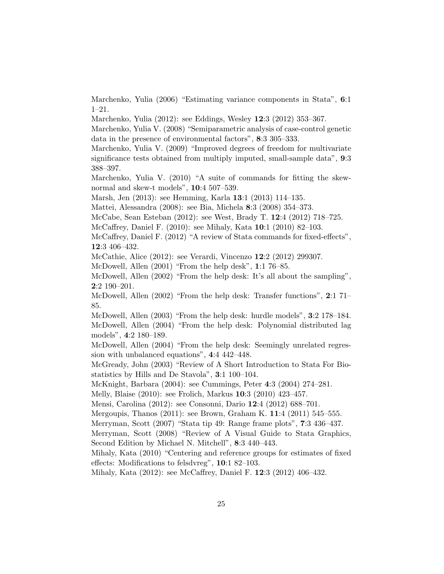Marchenko, Yulia (2006) "Estimating variance components in Stata", 6:1 1–21.

Marchenko, Yulia (2012): see Eddings, Wesley 12:3 (2012) 353–367.

Marchenko, Yulia V. (2008) "Semiparametric analysis of case-control genetic data in the presence of environmental factors", 8:3 305–333.

Marchenko, Yulia V. (2009) "Improved degrees of freedom for multivariate significance tests obtained from multiply imputed, small-sample data", 9:3 388–397.

Marchenko, Yulia V. (2010) "A suite of commands for fitting the skewnormal and skew-t models", 10:4 507–539.

Marsh, Jen (2013): see Hemming, Karla 13:1 (2013) 114–135.

Mattei, Alessandra (2008): see Bia, Michela 8:3 (2008) 354–373.

McCabe, Sean Esteban (2012): see West, Brady T. 12:4 (2012) 718–725.

McCaffrey, Daniel F. (2010): see Mihaly, Kata 10:1 (2010) 82–103.

McCaffrey, Daniel F. (2012) "A review of Stata commands for fixed-effects", 12:3 406–432.

McCathie, Alice (2012): see Verardi, Vincenzo 12:2 (2012) 299307.

McDowell, Allen (2001) "From the help desk", 1:1 76–85.

McDowell, Allen (2002) "From the help desk: It's all about the sampling", 2:2 190–201.

McDowell, Allen (2002) "From the help desk: Transfer functions", 2:1 71– 85.

McDowell, Allen (2003) "From the help desk: hurdle models", 3:2 178–184. McDowell, Allen (2004) "From the help desk: Polynomial distributed lag models", 4:2 180–189.

McDowell, Allen (2004) "From the help desk: Seemingly unrelated regression with unbalanced equations", 4:4 442–448.

McGready, John (2003) "Review of A Short Introduction to Stata For Biostatistics by Hills and De Stavola", 3:1 100–104.

McKnight, Barbara (2004): see Cummings, Peter 4:3 (2004) 274–281.

Melly, Blaise (2010): see Frolich, Markus 10:3 (2010) 423–457.

Mensi, Carolina (2012): see Consonni, Dario 12:4 (2012) 688–701.

Mergoupis, Thanos (2011): see Brown, Graham K. 11:4 (2011) 545–555.

Merryman, Scott (2007) "Stata tip 49: Range frame plots", 7:3 436–437.

Merryman, Scott (2008) "Review of A Visual Guide to Stata Graphics, Second Edition by Michael N. Mitchell", 8:3 440–443.

Mihaly, Kata (2010) "Centering and reference groups for estimates of fixed effects: Modifications to felsdvreg", 10:1 82–103.

Mihaly, Kata (2012): see McCaffrey, Daniel F. 12:3 (2012) 406–432.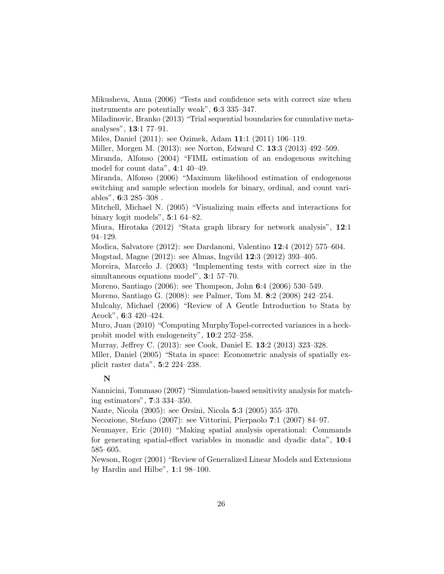Mikusheva, Anna (2006) "Tests and confidence sets with correct size when instruments are potentially weak", 6:3 335–347.

Miladinovic, Branko (2013) "Trial sequential boundaries for cumulative metaanalyses", 13:1 77–91.

Miles, Daniel (2011): see Ozimek, Adam 11:1 (2011) 106–119.

Miller, Morgen M. (2013): see Norton, Edward C. 13:3 (2013) 492–509.

Miranda, Alfonso (2004) "FIML estimation of an endogenous switching model for count data", 4:1 40–49.

Miranda, Alfonso (2006) "Maximum likelihood estimation of endogenous switching and sample selection models for binary, ordinal, and count variables", 6:3 285–308 .

Mitchell, Michael N. (2005) "Visualizing main effects and interactions for binary logit models", 5:1 64–82.

Miura, Hirotaka (2012) "Stata graph library for network analysis", 12:1 94–129.

Modica, Salvatore (2012): see Dardanoni, Valentino 12:4 (2012) 575–604.

Mogstad, Magne (2012): see Almas, Ingvild 12:3 (2012) 393–405.

Moreira, Marcelo J. (2003) "Implementing tests with correct size in the simultaneous equations model", 3:1 57–70.

Moreno, Santiago (2006): see Thompson, John 6:4 (2006) 530–549.

Moreno, Santiago G. (2008): see Palmer, Tom M. 8:2 (2008) 242–254.

Mulcahy, Michael (2006) "Review of A Gentle Introduction to Stata by Acock", 6:3 420–424.

Muro, Juan (2010) "Computing MurphyTopel-corrected variances in a heckprobit model with endogeneity", 10:2 252–258.

Murray, Jeffrey C. (2013): see Cook, Daniel E. 13:2 (2013) 323–328.

Mller, Daniel (2005) "Stata in space: Econometric analysis of spatially explicit raster data", 5:2 224–238.

#### N

Nannicini, Tommaso (2007) "Simulation-based sensitivity analysis for matching estimators", 7:3 334–350.

Nante, Nicola (2005): see Orsini, Nicola 5:3 (2005) 355–370.

Necozione, Stefano (2007): see Vittorini, Pierpaolo 7:1 (2007) 84–97.

Neumayer, Eric (2010) "Making spatial analysis operational: Commands for generating spatial-effect variables in monadic and dyadic data", 10:4 585–605.

Newson, Roger (2001) "Review of Generalized Linear Models and Extensions by Hardin and Hilbe", 1:1 98–100.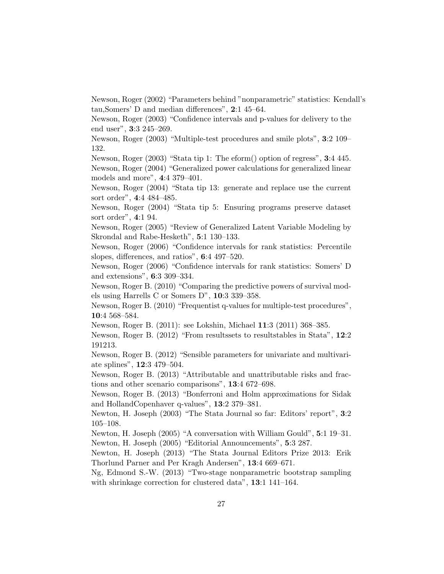Newson, Roger (2002) "Parameters behind "nonparametric" statistics: Kendall's tau,Somers' D and median differences", 2:1 45–64.

Newson, Roger (2003) "Confidence intervals and p-values for delivery to the end user", 3:3 245–269.

Newson, Roger (2003) "Multiple-test procedures and smile plots", 3:2 109– 132.

Newson, Roger (2003) "Stata tip 1: The eform() option of regress", 3:4 445. Newson, Roger (2004) "Generalized power calculations for generalized linear models and more", 4:4 379–401.

Newson, Roger (2004) "Stata tip 13: generate and replace use the current sort order", 4:4 484–485.

Newson, Roger (2004) "Stata tip 5: Ensuring programs preserve dataset sort order", 4:1 94.

Newson, Roger (2005) "Review of Generalized Latent Variable Modeling by Skrondal and Rabe-Hesketh", 5:1 130–133.

Newson, Roger (2006) "Confidence intervals for rank statistics: Percentile slopes, differences, and ratios", 6:4 497–520.

Newson, Roger (2006) "Confidence intervals for rank statistics: Somers' D and extensions", 6:3 309–334.

Newson, Roger B. (2010) "Comparing the predictive powers of survival models using Harrells C or Somers D", 10:3 339–358.

Newson, Roger B. (2010) "Frequentist q-values for multiple-test procedures", 10:4 568–584.

Newson, Roger B. (2011): see Lokshin, Michael 11:3 (2011) 368–385.

Newson, Roger B. (2012) "From resultssets to resultstables in Stata", 12:2 191213.

Newson, Roger B. (2012) "Sensible parameters for univariate and multivariate splines", 12:3 479–504.

Newson, Roger B. (2013) "Attributable and unattributable risks and fractions and other scenario comparisons", 13:4 672–698.

Newson, Roger B. (2013) "Bonferroni and Holm approximations for Sidak and HollandCopenhaver q-values", 13:2 379–381.

Newton, H. Joseph (2003) "The Stata Journal so far: Editors' report", 3:2 105–108.

Newton, H. Joseph (2005) "A conversation with William Gould", 5:1 19–31. Newton, H. Joseph (2005) "Editorial Announcements", 5:3 287.

Newton, H. Joseph (2013) "The Stata Journal Editors Prize 2013: Erik Thorlund Parner and Per Kragh Andersen", 13:4 669–671.

Ng, Edmond S.-W. (2013) "Two-stage nonparametric bootstrap sampling with shrinkage correction for clustered data", 13:1 141-164.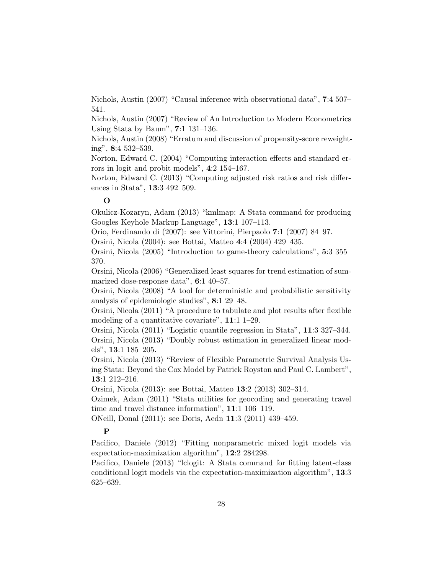Nichols, Austin (2007) "Causal inference with observational data", 7:4 507– 541.

Nichols, Austin (2007) "Review of An Introduction to Modern Econometrics Using Stata by Baum", 7:1 131–136.

Nichols, Austin (2008) "Erratum and discussion of propensity-score reweighting", 8:4 532–539.

Norton, Edward C. (2004) "Computing interaction effects and standard errors in logit and probit models", 4:2 154–167.

Norton, Edward C. (2013) "Computing adjusted risk ratios and risk differences in Stata", 13:3 492–509.

### $\Omega$

Okulicz-Kozaryn, Adam (2013) "kmlmap: A Stata command for producing Googles Keyhole Markup Language", 13:1 107–113.

Orio, Ferdinando di (2007): see Vittorini, Pierpaolo 7:1 (2007) 84–97.

Orsini, Nicola (2004): see Bottai, Matteo 4:4 (2004) 429–435.

Orsini, Nicola (2005) "Introduction to game-theory calculations", 5:3 355– 370.

Orsini, Nicola (2006) "Generalized least squares for trend estimation of summarized dose-response data", 6:1 40–57.

Orsini, Nicola (2008) "A tool for deterministic and probabilistic sensitivity analysis of epidemiologic studies", 8:1 29–48.

Orsini, Nicola (2011) "A procedure to tabulate and plot results after flexible modeling of a quantitative covariate", 11:1 1–29.

Orsini, Nicola (2011) "Logistic quantile regression in Stata", 11:3 327–344. Orsini, Nicola (2013) "Doubly robust estimation in generalized linear models", 13:1 185–205.

Orsini, Nicola (2013) "Review of Flexible Parametric Survival Analysis Using Stata: Beyond the Cox Model by Patrick Royston and Paul C. Lambert", 13:1 212–216.

Orsini, Nicola (2013): see Bottai, Matteo 13:2 (2013) 302–314.

Ozimek, Adam (2011) "Stata utilities for geocoding and generating travel time and travel distance information", 11:1 106–119.

ONeill, Donal (2011): see Doris, Aedn 11:3 (2011) 439–459.

## P

Pacifico, Daniele (2012) "Fitting nonparametric mixed logit models via expectation-maximization algorithm", 12:2 284298.

Pacifico, Daniele (2013) "lclogit: A Stata command for fitting latent-class conditional logit models via the expectation-maximization algorithm", 13:3 625–639.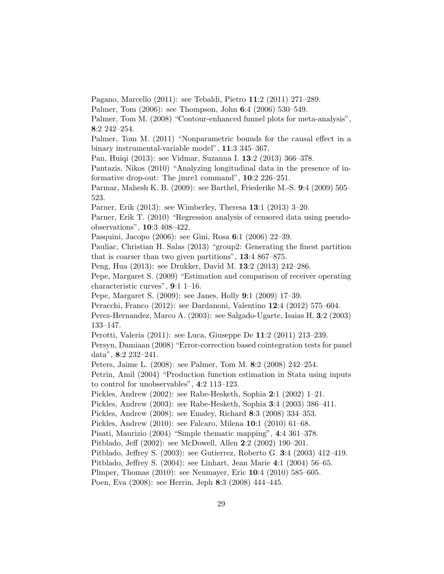Pagano, Marcello (2011): see Tebaldi, Pietro 11:2 (2011) 271–289.

Palmer, Tom (2006): see Thompson, John 6:4 (2006) 530–549.

Palmer, Tom M. (2008) "Contour-enhanced funnel plots for meta-analysis", 8:2 242–254.

Palmer, Tom M. (2011) "Nonparametric bounds for the causal effect in a binary instrumental-variable model", 11:3 345–367.

Pan, Huiqi (2013): see Vidmar, Suzanna I. 13:2 (2013) 366–378.

Pantazis, Nikos (2010) "Analyzing longitudinal data in the presence of informative drop-out: The jmre1 command", 10:2 226–251.

Parmar, Mahesh K. B. (2009): see Barthel, Friederike M.-S. 9:4 (2009) 505– 523.

Parner, Erik (2013): see Wimberley, Theresa 13:1 (2013) 3–20.

Parner, Erik T. (2010) "Regression analysis of censored data using pseudoobservations", 10:3 408–422.

Pasquini, Jacopo (2006): see Gini, Rosa 6:1 (2006) 22–39.

Pauliac, Christian H. Salas (2013) "group2: Generating the finest partition that is coarser than two given partitions", 13:4 867–875.

Peng, Hua (2013): see Drukker, David M. 13:2 (2013) 242–286.

Pepe, Margaret S. (2009) "Estimation and comparison of receiver operating characteristic curves", 9:1 1–16.

Pepe, Margaret S. (2009): see Janes, Holly 9:1 (2009) 17–39.

Peracchi, Franco (2012): see Dardanoni, Valentino 12:4 (2012) 575–604.

Perez-Hernandez, Marco A. (2003): see Salgado-Ugarte, Isaias H. 3:2 (2003) 133–147.

Perotti, Valeria (2011): see Luca, Giuseppe De 11:2 (2011) 213–239.

Persyn, Damiaan (2008) "Error-correction based cointegration tests for panel data", 8:2 232–241.

Peters, Jaime L. (2008): see Palmer, Tom M. 8:2 (2008) 242–254.

Petrin, Amil (2004) "Production function estimation in Stata using inputs to control for unobservables", 4:2 113–123.

Pickles, Andrew (2002): see Rabe-Hesketh, Sophia 2:1 (2002) 1–21.

Pickles, Andrew (2003): see Rabe-Hesketh, Sophia 3:4 (2003) 386–411.

Pickles, Andrew (2008): see Emsley, Richard 8:3 (2008) 334–353.

Pickles, Andrew (2010): see Falcaro, Milena 10:1 (2010) 61–68.

Pisati, Maurizio (2004) "Simple thematic mapping", 4:4 361–378.

Pitblado, Jeff (2002): see McDowell, Allen 2:2 (2002) 190–201.

Pitblado, Jeffrey S. (2003): see Gutierrez, Roberto G. 3:4 (2003) 412–419.

Pitblado, Jeffrey S. (2004): see Linhart, Jean Marie 4:1 (2004) 56–65.

Plmper, Thomas (2010): see Neumayer, Eric 10:4 (2010) 585–605.

Poen, Eva (2008): see Herrin, Jeph 8:3 (2008) 444–445.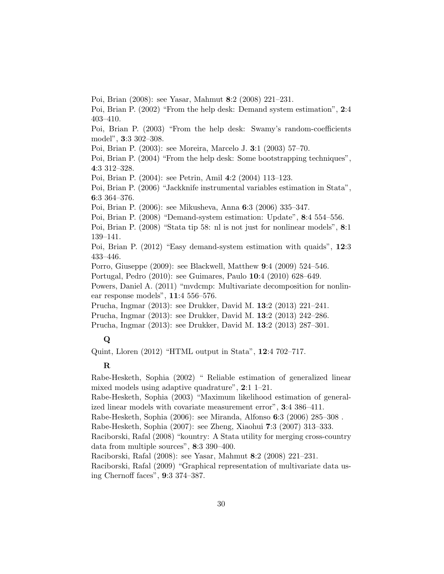Poi, Brian (2008): see Yasar, Mahmut 8:2 (2008) 221–231.

Poi, Brian P. (2002) "From the help desk: Demand system estimation", 2:4 403–410.

Poi, Brian P. (2003) "From the help desk: Swamy's random-coefficients model", 3:3 302–308.

Poi, Brian P. (2003): see Moreira, Marcelo J. 3:1 (2003) 57–70.

Poi, Brian P. (2004) "From the help desk: Some bootstrapping techniques", 4:3 312–328.

Poi, Brian P. (2004): see Petrin, Amil 4:2 (2004) 113–123.

Poi, Brian P. (2006) "Jackknife instrumental variables estimation in Stata", 6:3 364–376.

Poi, Brian P. (2006): see Mikusheva, Anna 6:3 (2006) 335–347.

Poi, Brian P. (2008) "Demand-system estimation: Update", 8:4 554–556.

Poi, Brian P. (2008) "Stata tip 58: nl is not just for nonlinear models", 8:1 139–141.

Poi, Brian P. (2012) "Easy demand-system estimation with quaids", 12:3 433–446.

Porro, Giuseppe (2009): see Blackwell, Matthew 9:4 (2009) 524–546.

Portugal, Pedro (2010): see Guimares, Paulo 10:4 (2010) 628–649.

Powers, Daniel A. (2011) "mvdcmp: Multivariate decomposition for nonlinear response models", 11:4 556–576.

Prucha, Ingmar (2013): see Drukker, David M. 13:2 (2013) 221–241.

Prucha, Ingmar (2013): see Drukker, David M. 13:2 (2013) 242–286.

Prucha, Ingmar (2013): see Drukker, David M. 13:2 (2013) 287–301.

## $\bf Q$

Quint, Lloren (2012) "HTML output in Stata", 12:4 702–717.

#### R

Rabe-Hesketh, Sophia (2002) " Reliable estimation of generalized linear mixed models using adaptive quadrature", 2:1 1–21.

Rabe-Hesketh, Sophia (2003) "Maximum likelihood estimation of generalized linear models with covariate measurement error", 3:4 386–411.

Rabe-Hesketh, Sophia (2006): see Miranda, Alfonso 6:3 (2006) 285–308 .

Rabe-Hesketh, Sophia (2007): see Zheng, Xiaohui 7:3 (2007) 313–333.

Raciborski, Rafal (2008) "kountry: A Stata utility for merging cross-country data from multiple sources", 8:3 390–400.

Raciborski, Rafal (2008): see Yasar, Mahmut 8:2 (2008) 221–231.

Raciborski, Rafal (2009) "Graphical representation of multivariate data using Chernoff faces", 9:3 374–387.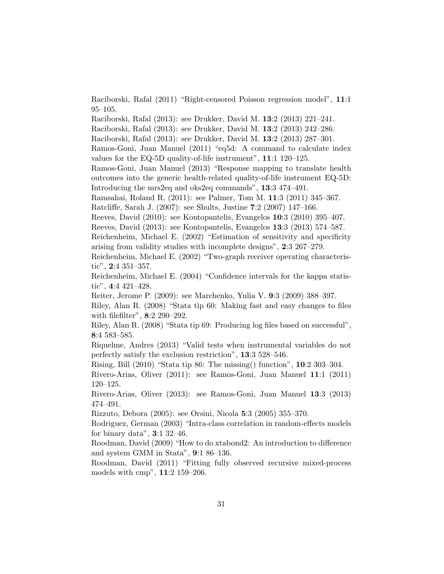Raciborski, Rafal (2011) "Right-censored Poisson regression model", 11:1 95–105.

Raciborski, Rafal (2013): see Drukker, David M. 13:2 (2013) 221–241.

Raciborski, Rafal (2013): see Drukker, David M. 13:2 (2013) 242–286.

Raciborski, Rafal (2013): see Drukker, David M. 13:2 (2013) 287–301.

Ramos-Goni, Juan Manuel (2011) "eq5d: A command to calculate index values for the EQ-5D quality-of-life instrument", 11:1 120–125.

Ramos-Goni, Juan Manuel (2013) "Response mapping to translate health outcomes into the generic health-related quality-of-life instrument EQ-5D: Introducing the mrs2eq and oks2eq commands", 13:3 474–491.

Ramsahai, Roland R. (2011): see Palmer, Tom M. 11:3 (2011) 345–367.

Ratcliffe, Sarah J. (2007): see Shults, Justine 7:2 (2007) 147–166.

Reeves, David (2010): see Kontopantelis, Evangelos 10:3 (2010) 395–407.

Reeves, David (2013): see Kontopantelis, Evangelos 13:3 (2013) 574–587.

Reichenheim, Michael E. (2002) "Estimation of sensitivity and specificity arising from validity studies with incomplete designs", 2:3 267–279.

Reichenheim, Michael E. (2002) "Two-graph receiver operating characteristic", 2:4 351–357.

Reichenheim, Michael E. (2004) "Confidence intervals for the kappa statistic", 4:4 421–428.

Reiter, Jerome P. (2009): see Marchenko, Yulia V. 9:3 (2009) 388–397.

Riley, Alan R. (2008) "Stata tip 60: Making fast and easy changes to files with filefilter", 8:2 290–292.

Riley, Alan R. (2008) "Stata tip 69: Producing log files based on successful", 8:4 583–585.

Riquelme, Andres (2013) "Valid tests when instrumental variables do not perfectly satisfy the exclusion restriction", 13:3 528–546.

Rising, Bill (2010) "Stata tip 86: The missing() function", 10:2 303–304.

Rivero-Arias, Oliver (2011): see Ramos-Goni, Juan Manuel 11:1 (2011) 120–125.

Rivero-Arias, Oliver (2013): see Ramos-Goni, Juan Manuel 13:3 (2013) 474–491.

Rizzuto, Debora (2005): see Orsini, Nicola 5:3 (2005) 355–370.

Rodriguez, German (2003) "Intra-class correlation in random-effects models for binary data", 3:1 32–46.

Roodman, David (2009) "How to do xtabond2: An introduction to difference and system GMM in Stata", 9:1 86–136.

Roodman, David (2011) "Fitting fully observed recursive mixed-process models with cmp", 11:2 159–206.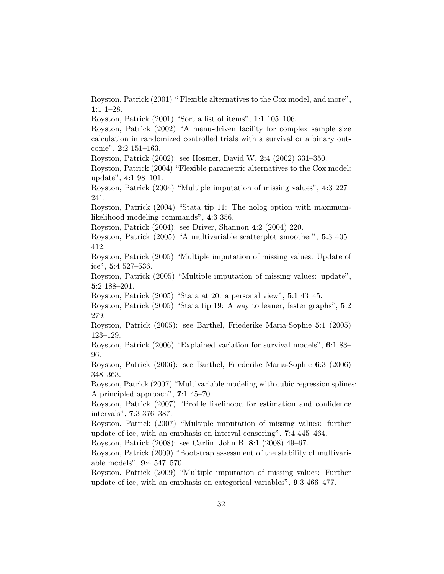Royston, Patrick (2001) " Flexible alternatives to the Cox model, and more", 1:1 1–28.

Royston, Patrick (2001) "Sort a list of items", 1:1 105–106.

Royston, Patrick (2002) "A menu-driven facility for complex sample size calculation in randomized controlled trials with a survival or a binary outcome", 2:2 151–163.

Royston, Patrick (2002): see Hosmer, David W. 2:4 (2002) 331–350.

Royston, Patrick (2004) "Flexible parametric alternatives to the Cox model: update", 4:1 98–101.

Royston, Patrick (2004) "Multiple imputation of missing values", 4:3 227– 241.

Royston, Patrick (2004) "Stata tip 11: The nolog option with maximumlikelihood modeling commands", 4:3 356.

Royston, Patrick (2004): see Driver, Shannon 4:2 (2004) 220.

Royston, Patrick (2005) "A multivariable scatterplot smoother", 5:3 405– 412.

Royston, Patrick (2005) "Multiple imputation of missing values: Update of ice", 5:4 527–536.

Royston, Patrick (2005) "Multiple imputation of missing values: update", 5:2 188–201.

Royston, Patrick (2005) "Stata at 20: a personal view", 5:1 43–45.

Royston, Patrick (2005) "Stata tip 19: A way to leaner, faster graphs", 5:2 279.

Royston, Patrick (2005): see Barthel, Friederike Maria-Sophie 5:1 (2005) 123–129.

Royston, Patrick (2006) "Explained variation for survival models", 6:1 83– 96.

Royston, Patrick (2006): see Barthel, Friederike Maria-Sophie 6:3 (2006) 348–363.

Royston, Patrick (2007) "Multivariable modeling with cubic regression splines: A principled approach", 7:1 45–70.

Royston, Patrick (2007) "Profile likelihood for estimation and confidence intervals", 7:3 376–387.

Royston, Patrick (2007) "Multiple imputation of missing values: further update of ice, with an emphasis on interval censoring", 7:4 445–464.

Royston, Patrick (2008): see Carlin, John B. 8:1 (2008) 49–67.

Royston, Patrick (2009) "Bootstrap assessment of the stability of multivariable models", 9:4 547–570.

Royston, Patrick (2009) "Multiple imputation of missing values: Further update of ice, with an emphasis on categorical variables", 9:3 466–477.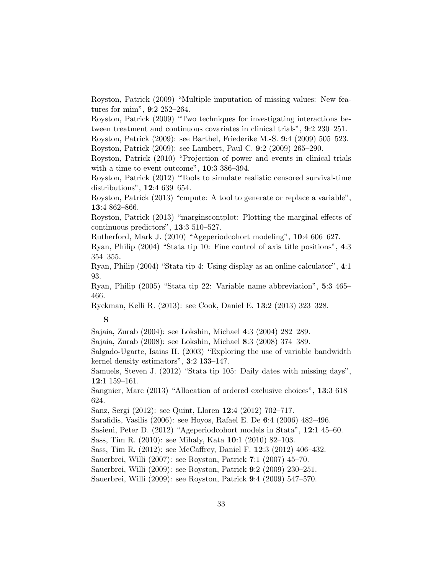Royston, Patrick (2009) "Multiple imputation of missing values: New features for mim", 9:2 252–264.

Royston, Patrick (2009) "Two techniques for investigating interactions between treatment and continuous covariates in clinical trials", 9:2 230–251.

Royston, Patrick (2009): see Barthel, Friederike M.-S. 9:4 (2009) 505–523.

Royston, Patrick (2009): see Lambert, Paul C. 9:2 (2009) 265–290.

Royston, Patrick (2010) "Projection of power and events in clinical trials with a time-to-event outcome", 10:3 386–394.

Royston, Patrick (2012) "Tools to simulate realistic censored survival-time distributions", 12:4 639–654.

Royston, Patrick (2013) "cmpute: A tool to generate or replace a variable", 13:4 862–866.

Royston, Patrick (2013) "marginscontplot: Plotting the marginal effects of continuous predictors", 13:3 510–527.

Rutherford, Mark J. (2010) "Ageperiodcohort modeling", 10:4 606–627.

Ryan, Philip (2004) "Stata tip 10: Fine control of axis title positions", 4:3 354–355.

Ryan, Philip (2004) "Stata tip 4: Using display as an online calculator", 4:1 93.

Ryan, Philip (2005) "Stata tip 22: Variable name abbreviation", 5:3 465– 466.

Ryckman, Kelli R. (2013): see Cook, Daniel E. 13:2 (2013) 323–328.

## S

Sajaia, Zurab (2004): see Lokshin, Michael 4:3 (2004) 282–289.

Sajaia, Zurab (2008): see Lokshin, Michael 8:3 (2008) 374–389.

Salgado-Ugarte, Isaias H. (2003) "Exploring the use of variable bandwidth kernel density estimators", 3:2 133–147.

Samuels, Steven J. (2012) "Stata tip 105: Daily dates with missing days", 12:1 159–161.

Sangnier, Marc (2013) "Allocation of ordered exclusive choices", 13:3 618– 624.

Sanz, Sergi (2012): see Quint, Lloren 12:4 (2012) 702–717.

Sarafidis, Vasilis (2006): see Hoyos, Rafael E. De 6:4 (2006) 482–496.

Sasieni, Peter D. (2012) "Ageperiodcohort models in Stata", 12:1 45–60.

Sass, Tim R. (2010): see Mihaly, Kata 10:1 (2010) 82–103.

Sass, Tim R. (2012): see McCaffrey, Daniel F. 12:3 (2012) 406–432.

Sauerbrei, Willi (2007): see Royston, Patrick 7:1 (2007) 45–70.

Sauerbrei, Willi (2009): see Royston, Patrick 9:2 (2009) 230–251.

Sauerbrei, Willi (2009): see Royston, Patrick 9:4 (2009) 547–570.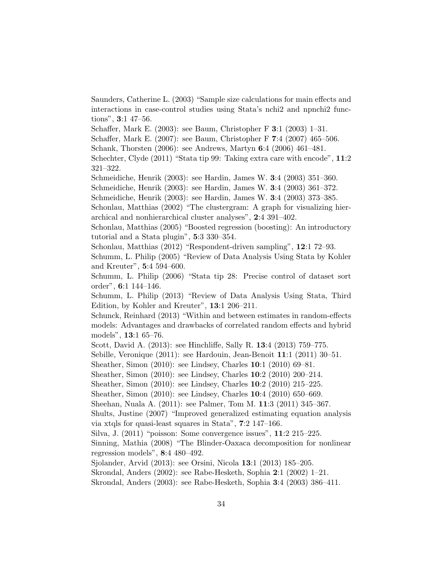Saunders, Catherine L. (2003) "Sample size calculations for main effects and interactions in case-control studies using Stata's nchi2 and npnchi2 functions", 3:1 47–56.

Schaffer, Mark E. (2003): see Baum, Christopher F 3:1 (2003) 1–31.

Schaffer, Mark E. (2007): see Baum, Christopher F 7:4 (2007) 465–506.

Schank, Thorsten (2006): see Andrews, Martyn 6:4 (2006) 461–481.

Schechter, Clyde (2011) "Stata tip 99: Taking extra care with encode", 11:2 321–322.

Schmeidiche, Henrik (2003): see Hardin, James W. 3:4 (2003) 351–360.

Schmeidiche, Henrik (2003): see Hardin, James W. 3:4 (2003) 361–372.

Schmeidiche, Henrik (2003): see Hardin, James W. 3:4 (2003) 373–385.

Schonlau, Matthias (2002) "The clustergram: A graph for visualizing hierarchical and nonhierarchical cluster analyses", 2:4 391–402.

Schonlau, Matthias (2005) "Boosted regression (boosting): An introductory tutorial and a Stata plugin", 5:3 330–354.

Schonlau, Matthias (2012) "Respondent-driven sampling", 12:1 72–93.

Schumm, L. Philip (2005) "Review of Data Analysis Using Stata by Kohler and Kreuter", 5:4 594–600.

Schumm, L. Philip (2006) "Stata tip 28: Precise control of dataset sort order", 6:1 144–146.

Schumm, L. Philip (2013) "Review of Data Analysis Using Stata, Third Edition, by Kohler and Kreuter", 13:1 206–211.

Schunck, Reinhard (2013) "Within and between estimates in random-effects models: Advantages and drawbacks of correlated random effects and hybrid models", 13:1 65–76.

Scott, David A. (2013): see Hinchliffe, Sally R. 13:4 (2013) 759–775.

Sebille, Veronique (2011): see Hardouin, Jean-Benoit 11:1 (2011) 30–51.

Sheather, Simon (2010): see Lindsey, Charles 10:1 (2010) 69–81.

Sheather, Simon (2010): see Lindsey, Charles 10:2 (2010) 200–214.

Sheather, Simon (2010): see Lindsey, Charles 10:2 (2010) 215–225.

Sheather, Simon (2010): see Lindsey, Charles 10:4 (2010) 650–669.

Sheehan, Nuala A. (2011): see Palmer, Tom M. 11:3 (2011) 345–367.

Shults, Justine (2007) "Improved generalized estimating equation analysis via xtqls for quasi-least squares in Stata", 7:2 147–166.

Silva, J. (2011) "poisson: Some convergence issues", 11:2 215–225.

Sinning, Mathia (2008) "The Blinder-Oaxaca decomposition for nonlinear regression models", 8:4 480–492.

Sjolander, Arvid (2013): see Orsini, Nicola 13:1 (2013) 185–205.

Skrondal, Anders (2002): see Rabe-Hesketh, Sophia 2:1 (2002) 1–21.

Skrondal, Anders (2003): see Rabe-Hesketh, Sophia 3:4 (2003) 386–411.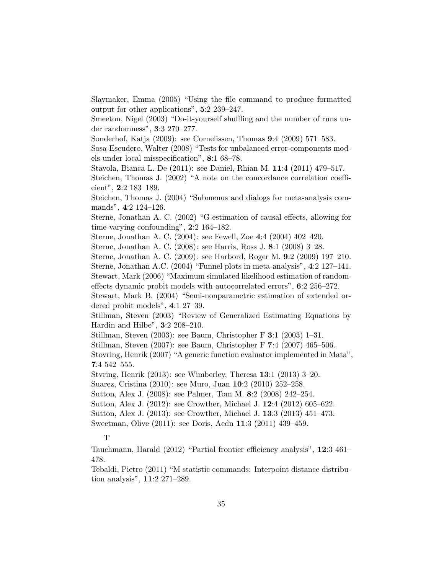Slaymaker, Emma (2005) "Using the file command to produce formatted output for other applications", 5:2 239–247.

Smeeton, Nigel (2003) "Do-it-yourself shuffling and the number of runs under randomness", 3:3 270–277.

Sonderhof, Katja (2009): see Cornelissen, Thomas 9:4 (2009) 571–583.

Sosa-Escudero, Walter (2008) "Tests for unbalanced error-components models under local misspecification", 8:1 68–78.

Stavola, Bianca L. De (2011): see Daniel, Rhian M. 11:4 (2011) 479–517.

Steichen, Thomas J. (2002) "A note on the concordance correlation coefficient", 2:2 183–189.

Steichen, Thomas J. (2004) "Submenus and dialogs for meta-analysis commands", 4:2 124–126.

Sterne, Jonathan A. C. (2002) "G-estimation of causal effects, allowing for time-varying confounding", 2:2 164–182.

Sterne, Jonathan A. C. (2004): see Fewell, Zoe 4:4 (2004) 402–420.

Sterne, Jonathan A. C. (2008): see Harris, Ross J. 8:1 (2008) 3–28.

Sterne, Jonathan A. C. (2009): see Harbord, Roger M. 9:2 (2009) 197–210.

Sterne, Jonathan A.C. (2004) "Funnel plots in meta-analysis", 4:2 127–141.

Stewart, Mark (2006) "Maximum simulated likelihood estimation of randomeffects dynamic probit models with autocorrelated errors", 6:2 256–272.

Stewart, Mark B. (2004) "Semi-nonparametric estimation of extended ordered probit models", 4:1 27–39.

Stillman, Steven (2003) "Review of Generalized Estimating Equations by Hardin and Hilbe", 3:2 208–210.

Stillman, Steven (2003): see Baum, Christopher F 3:1 (2003) 1–31.

Stillman, Steven (2007): see Baum, Christopher F 7:4 (2007) 465–506.

Stovring, Henrik (2007) "A generic function evaluator implemented in Mata", 7:4 542–555.

Stvring, Henrik (2013): see Wimberley, Theresa 13:1 (2013) 3–20.

Suarez, Cristina (2010): see Muro, Juan 10:2 (2010) 252–258.

Sutton, Alex J. (2008): see Palmer, Tom M. 8:2 (2008) 242–254.

Sutton, Alex J. (2012): see Crowther, Michael J. 12:4 (2012) 605–622.

Sutton, Alex J. (2013): see Crowther, Michael J. 13:3 (2013) 451–473.

Sweetman, Olive (2011): see Doris, Aedn 11:3 (2011) 439–459.

## T

Tauchmann, Harald (2012) "Partial frontier efficiency analysis", 12:3 461– 478.

Tebaldi, Pietro (2011) "M statistic commands: Interpoint distance distribution analysis", 11:2 271–289.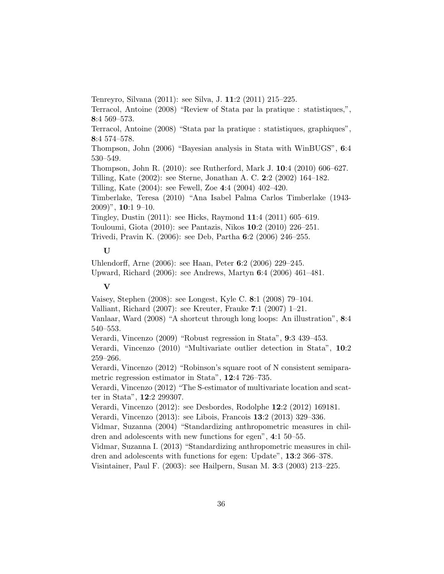Tenreyro, Silvana (2011): see Silva, J. 11:2 (2011) 215–225.

Terracol, Antoine (2008) "Review of Stata par la pratique : statistiques,", 8:4 569–573.

Terracol, Antoine (2008) "Stata par la pratique : statistiques, graphiques", 8:4 574–578.

Thompson, John (2006) "Bayesian analysis in Stata with WinBUGS", 6:4 530–549.

Thompson, John R. (2010): see Rutherford, Mark J. 10:4 (2010) 606–627.

Tilling, Kate (2002): see Sterne, Jonathan A. C. 2:2 (2002) 164–182.

Tilling, Kate (2004): see Fewell, Zoe 4:4 (2004) 402–420.

Timberlake, Teresa (2010) "Ana Isabel Palma Carlos Timberlake (1943- 2009)", 10:1 9–10.

Tingley, Dustin (2011): see Hicks, Raymond 11:4 (2011) 605–619.

Touloumi, Giota (2010): see Pantazis, Nikos 10:2 (2010) 226–251.

Trivedi, Pravin K. (2006): see Deb, Partha 6:2 (2006) 246–255.

## U

Uhlendorff, Arne (2006): see Haan, Peter 6:2 (2006) 229–245. Upward, Richard (2006): see Andrews, Martyn 6:4 (2006) 461–481.

#### V

Vaisey, Stephen (2008): see Longest, Kyle C. 8:1 (2008) 79–104.

Valliant, Richard (2007): see Kreuter, Frauke 7:1 (2007) 1–21.

Vanlaar, Ward (2008) "A shortcut through long loops: An illustration", 8:4 540–553.

Verardi, Vincenzo (2009) "Robust regression in Stata", 9:3 439–453.

Verardi, Vincenzo (2010) "Multivariate outlier detection in Stata", 10:2 259–266.

Verardi, Vincenzo (2012) "Robinson's square root of N consistent semiparametric regression estimator in Stata", 12:4 726–735.

Verardi, Vincenzo (2012) "The S-estimator of multivariate location and scatter in Stata", 12:2 299307.

Verardi, Vincenzo (2012): see Desbordes, Rodolphe 12:2 (2012) 169181.

Verardi, Vincenzo (2013): see Libois, Francois 13:2 (2013) 329–336.

Vidmar, Suzanna (2004) "Standardizing anthropometric measures in children and adolescents with new functions for egen", 4:1 50–55.

Vidmar, Suzanna I. (2013) "Standardizing anthropometric measures in children and adolescents with functions for egen: Update", 13:2 366–378.

Visintainer, Paul F. (2003): see Hailpern, Susan M. 3:3 (2003) 213–225.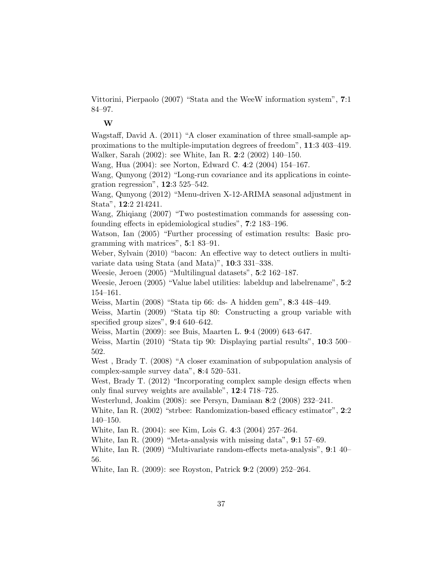Vittorini, Pierpaolo (2007) "Stata and the WeeW information system", 7:1 84–97.

#### W

Wagstaff, David A. (2011) "A closer examination of three small-sample approximations to the multiple-imputation degrees of freedom", 11:3 403–419. Walker, Sarah (2002): see White, Ian R. 2:2 (2002) 140–150.

Wang, Hua (2004): see Norton, Edward C. 4:2 (2004) 154–167.

Wang, Qunyong (2012) "Long-run covariance and its applications in cointegration regression", 12:3 525–542.

Wang, Qunyong (2012) "Menu-driven X-12-ARIMA seasonal adjustment in Stata", 12:2 214241.

Wang, Zhiqiang (2007) "Two postestimation commands for assessing confounding effects in epidemiological studies", 7:2 183–196.

Watson, Ian (2005) "Further processing of estimation results: Basic programming with matrices", 5:1 83–91.

Weber, Sylvain (2010) "bacon: An effective way to detect outliers in multivariate data using Stata (and Mata)", 10:3 331–338.

Weesie, Jeroen (2005) "Multilingual datasets", 5:2 162–187.

Weesie, Jeroen (2005) "Value label utilities: labeldup and labelrename", 5:2 154–161.

Weiss, Martin (2008) "Stata tip 66: ds- A hidden gem", 8:3 448–449.

Weiss, Martin (2009) "Stata tip 80: Constructing a group variable with specified group sizes",  $9:4640-642$ .

Weiss, Martin (2009): see Buis, Maarten L. 9:4 (2009) 643–647.

Weiss, Martin (2010) "Stata tip 90: Displaying partial results", 10:3 500– 502.

West, Brady T. (2008) "A closer examination of subpopulation analysis of complex-sample survey data", 8:4 520–531.

West, Brady T. (2012) "Incorporating complex sample design effects when only final survey weights are available", 12:4 718–725.

Westerlund, Joakim (2008): see Persyn, Damiaan 8:2 (2008) 232–241.

White, Ian R. (2002) "strbee: Randomization-based efficacy estimator", 2:2 140–150.

White, Ian R. (2004): see Kim, Lois G. 4:3 (2004) 257–264.

White, Ian R. (2009) "Meta-analysis with missing data", 9:1 57–69.

White, Ian R. (2009) "Multivariate random-effects meta-analysis", 9:1 40– 56.

White, Ian R. (2009): see Royston, Patrick 9:2 (2009) 252–264.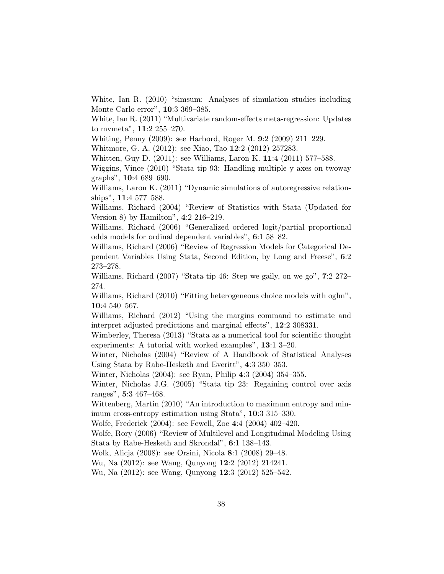White, Ian R. (2010) "simsum: Analyses of simulation studies including Monte Carlo error", 10:3 369–385.

White, Ian R. (2011) "Multivariate random-effects meta-regression: Updates to mvmeta", 11:2 255–270.

Whiting, Penny (2009): see Harbord, Roger M. 9:2 (2009) 211–229.

Whitmore, G. A. (2012): see Xiao, Tao 12:2 (2012) 257283.

Whitten, Guy D. (2011): see Williams, Laron K. 11:4 (2011) 577–588.

Wiggins, Vince (2010) "Stata tip 93: Handling multiple y axes on twoway graphs", 10:4 689–690.

Williams, Laron K. (2011) "Dynamic simulations of autoregressive relationships", 11:4 577–588.

Williams, Richard (2004) "Review of Statistics with Stata (Updated for Version 8) by Hamilton", 4:2 216–219.

Williams, Richard (2006) "Generalized ordered logit/partial proportional odds models for ordinal dependent variables", 6:1 58–82.

Williams, Richard (2006) "Review of Regression Models for Categorical Dependent Variables Using Stata, Second Edition, by Long and Freese", 6:2 273–278.

Williams, Richard (2007) "Stata tip 46: Step we gaily, on we go", 7:2 272– 274.

Williams, Richard (2010) "Fitting heterogeneous choice models with oglm", 10:4 540–567.

Williams, Richard (2012) "Using the margins command to estimate and interpret adjusted predictions and marginal effects", 12:2 308331.

Wimberley, Theresa (2013) "Stata as a numerical tool for scientific thought experiments: A tutorial with worked examples", 13:1 3–20.

Winter, Nicholas (2004) "Review of A Handbook of Statistical Analyses Using Stata by Rabe-Hesketh and Everitt", 4:3 350–353.

Winter, Nicholas (2004): see Ryan, Philip 4:3 (2004) 354–355.

Winter, Nicholas J.G. (2005) "Stata tip 23: Regaining control over axis ranges", 5:3 467–468.

Wittenberg, Martin (2010) "An introduction to maximum entropy and minimum cross-entropy estimation using Stata", 10:3 315–330.

Wolfe, Frederick (2004): see Fewell, Zoe 4:4 (2004) 402–420.

Wolfe, Rory (2006) "Review of Multilevel and Longitudinal Modeling Using Stata by Rabe-Hesketh and Skrondal", 6:1 138–143.

Wolk, Alicja (2008): see Orsini, Nicola 8:1 (2008) 29–48.

Wu, Na (2012): see Wang, Qunyong 12:2 (2012) 214241.

Wu, Na (2012): see Wang, Qunyong 12:3 (2012) 525–542.